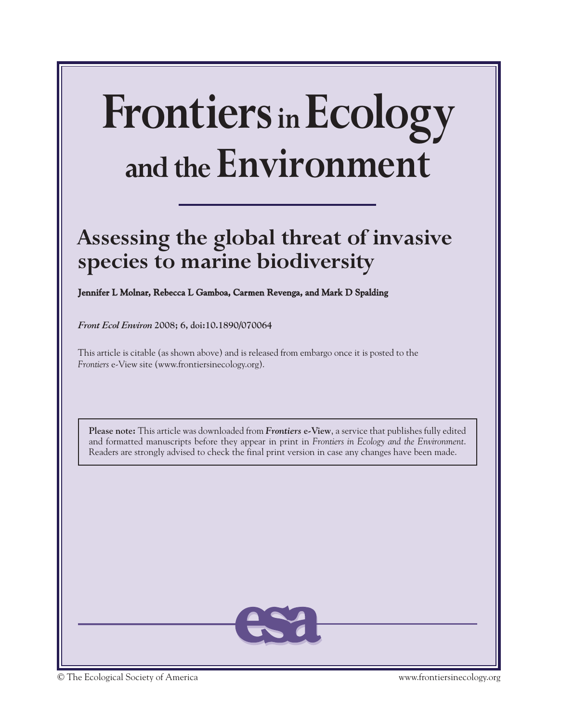# **FrontiersinEcology and the Environment**

# **Assessing the global threat of invasive species to marine biodiversity**

**Jennifer L Molnar, Rebecca L Gamboa, Carmen Revenga, and Mark D Spalding** 

*Front Ecol Environ* **2008; 6, doi:10.1890/070064**

This article is citable (as shown above) and is released from embargo once it is posted to the *Frontiers* e-View site (www.frontiersinecology.org).

**Please note:** This article was downloaded from *Frontiers* **e-View**, a service that publishes fully edited and formatted manuscripts before they appear in print in *Frontiers in Ecology and the Environment*. Readers are strongly advised to check the final print version in case any changes have been made.

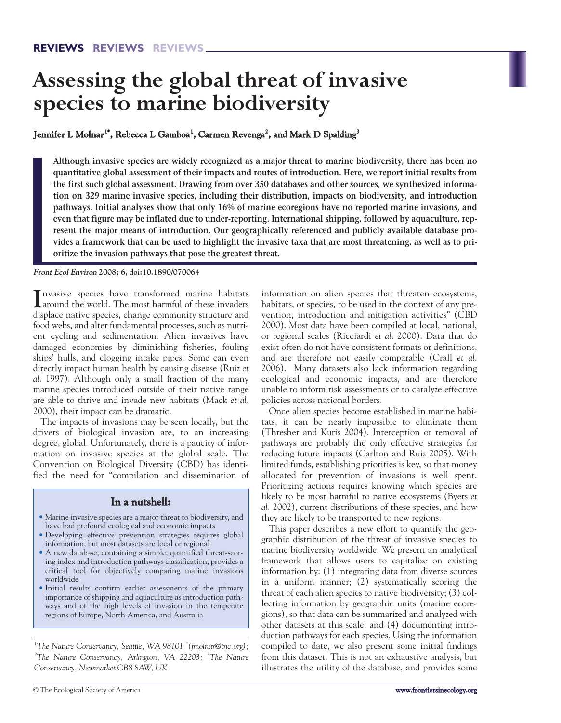# **Assessing the global threat of invasive species to marine biodiversity**

# **Jennifer L Molnar 1\* , Rebecca L Gamboa<sup>1</sup> , Carmen Revenga<sup>2</sup> , and Mark D Spalding<sup>3</sup>**

**Although invasive species are widely recognized as a major threat to marine biodiversity, there has been no quantitative global assessment of their impacts and routes of introduction. Here, we report initial results from the first such global assessment. Drawing from over 350 databases and other sources, we synthesized information on 329 marine invasive species, including their distribution, impacts on biodiversity, and introduction pathways. Initial analyses show that only 16% of marine ecoregions have no reported marine invasions, and even that figure may be inflated due to under-reporting. International shipping, followed by aquaculture, represent the major means of introduction. Our geographically referenced and publicly available database provides a framework that can be used to highlight the invasive taxa that are most threatening, as well as to prioritize the invasion pathways that pose the greatest threat.**

**Front Ecol Environ 2008; 6, doi:10.1890/070064**

Invasive species have transformed marine habitats<br>around the world. The most harmful of these invaders around the world. The most harmful of these invaders displace native species, change community structure and food webs, and alter fundamental processes, such as nutrient cycling and sedimentation. Alien invasives have damaged economies by diminishing fisheries, fouling ships' hulls, and clogging intake pipes. Some can even directly impact human health by causing disease (Ruiz *et al*. 1997). Although only a small fraction of the many marine species introduced outside of their native range are able to thrive and invade new habitats (Mack *et al*. 2000), their impact can be dramatic.

The impacts of invasions may be seen locally, but the drivers of biological invasion are, to an increasing degree, global. Unfortunately, there is a paucity of information on invasive species at the global scale. The Convention on Biological Diversity (CBD) has identified the need for "compilation and dissemination of

# **In a nutshell:**

- Marine invasive species are a major threat to biodiversity, and have had profound ecological and economic impacts
- Developing effective prevention strategies requires global information, but most datasets are local or regional
- A new database, containing a simple, quantified threat-scoring index and introduction pathways classification, provides a critical tool for objectively comparing marine invasions worldwide
- Initial results confirm earlier assessments of the primary importance of shipping and aquaculture as introduction pathways and of the high levels of invasion in the temperate regions of Europe, North America, and Australia

*1 The Nature Conservancy, Seattle, WA 98101 \* (jmolnar@tnc.org); 2 The Nature Conservancy, Arlington, VA 22203; <sup>3</sup> The Nature Conservancy, Newmarket CB8 8AW, UK*

information on alien species that threaten ecosystems, habitats, or species, to be used in the context of any prevention, introduction and mitigation activities" (CBD 2000). Most data have been compiled at local, national, or regional scales (Ricciardi *et al*. 2000). Data that do exist often do not have consistent formats or definitions, and are therefore not easily comparable (Crall *et al*. 2006). Many datasets also lack information regarding ecological and economic impacts, and are therefore unable to inform risk assessments or to catalyze effective policies across national borders.

Once alien species become established in marine habitats, it can be nearly impossible to eliminate them (Thresher and Kuris 2004). Interception or removal of pathways are probably the only effective strategies for reducing future impacts (Carlton and Ruiz 2005). With limited funds, establishing priorities is key, so that money allocated for prevention of invasions is well spent. Prioritizing actions requires knowing which species are likely to be most harmful to native ecosystems (Byers *et al*. 2002), current distributions of these species, and how they are likely to be transported to new regions.

This paper describes a new effort to quantify the geographic distribution of the threat of invasive species to marine biodiversity worldwide. We present an analytical framework that allows users to capitalize on existing information by: (1) integrating data from diverse sources in a uniform manner; (2) systematically scoring the threat of each alien species to native biodiversity; (3) collecting information by geographic units (marine ecoregions), so that data can be summarized and analyzed with other datasets at this scale; and (4) documenting introduction pathways for each species. Using the information compiled to date, we also present some initial findings from this dataset. This is not an exhaustive analysis, but illustrates the utility of the database, and provides some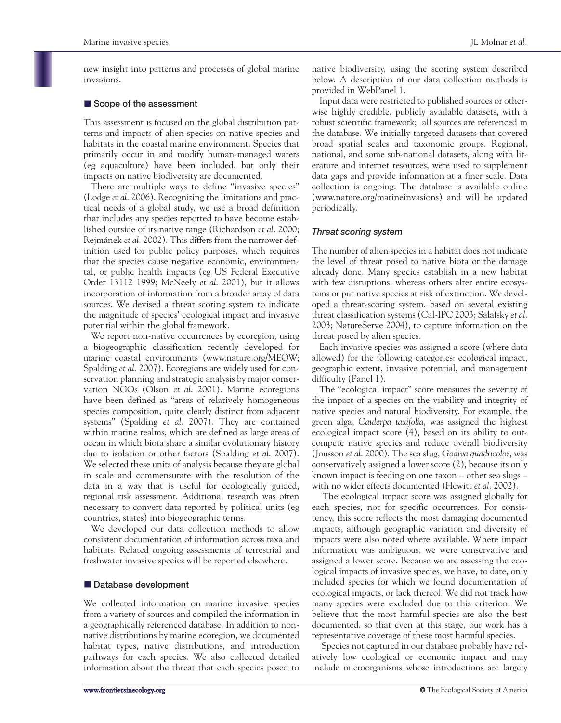new insight into patterns and processes of global marine invasions.

# **E** Scope of the assessment

This assessment is focused on the global distribution patterns and impacts of alien species on native species and habitats in the coastal marine environment. Species that primarily occur in and modify human-managed waters (eg aquaculture) have been included, but only their impacts on native biodiversity are documented.

There are multiple ways to define "invasive species" (Lodge *et al*. 2006). Recognizing the limitations and practical needs of a global study, we use a broad definition that includes any species reported to have become established outside of its native range (Richardson *et al*. 2000; Rejmánek *et al*. 2002). This differs from the narrower definition used for public policy purposes, which requires that the species cause negative economic, environmental, or public health impacts (eg US Federal Executive Order 13112 1999; McNeely *et al*. 2001), but it allows incorporation of information from a broader array of data sources. We devised a threat scoring system to indicate the magnitude of species' ecological impact and invasive potential within the global framework.

We report non-native occurrences by ecoregion, using a biogeographic classification recently developed for marine coastal environments (www.nature.org/MEOW; Spalding *et al*. 2007). Ecoregions are widely used for conservation planning and strategic analysis by major conservation NGOs (Olson *et al*. 2001). Marine ecoregions have been defined as "areas of relatively homogeneous species composition, quite clearly distinct from adjacent systems" (Spalding *et al*. 2007). They are contained within marine realms, which are defined as large areas of ocean in which biota share a similar evolutionary history due to isolation or other factors (Spalding *et al*. 2007). We selected these units of analysis because they are global in scale and commensurate with the resolution of the data in a way that is useful for ecologically guided, regional risk assessment. Additional research was often necessary to convert data reported by political units (eg countries, states) into biogeographic terms.

We developed our data collection methods to allow consistent documentation of information across taxa and habitats. Related ongoing assessments of terrestrial and freshwater invasive species will be reported elsewhere.

# $\blacksquare$  Database development

We collected information on marine invasive species from a variety of sources and compiled the information in a geographically referenced database. In addition to nonnative distributions by marine ecoregion, we documented habitat types, native distributions, and introduction pathways for each species. We also collected detailed information about the threat that each species posed to

native biodiversity, using the scoring system described below. A description of our data collection methods is provided in WebPanel 1.

Input data were restricted to published sources or otherwise highly credible, publicly available datasets, with a robust scientific framework; all sources are referenced in the database. We initially targeted datasets that covered broad spatial scales and taxonomic groups. Regional, national, and some sub-national datasets, along with literature and internet resources, were used to supplement data gaps and provide information at a finer scale. Data collection is ongoing. The database is available online (www.nature.org/marineinvasions) and will be updated periodically.

#### *Threat scoring system*

The number of alien species in a habitat does not indicate the level of threat posed to native biota or the damage already done. Many species establish in a new habitat with few disruptions, whereas others alter entire ecosystems or put native species at risk of extinction. We developed a threat-scoring system, based on several existing threat classification systems (Cal-IPC 2003; Salafsky *et al*. 2003; NatureServe 2004), to capture information on the threat posed by alien species.

Each invasive species was assigned a score (where data allowed) for the following categories: ecological impact, geographic extent, invasive potential, and management difficulty (Panel 1).

The "ecological impact" score measures the severity of the impact of a species on the viability and integrity of native species and natural biodiversity. For example, the green alga, *Caulerpa taxifolia*, was assigned the highest ecological impact score (4), based on its ability to outcompete native species and reduce overall biodiversity (Jousson *et al*. 2000). The sea slug, *Godiva quadricolor*, was conservatively assigned a lower score (2), because its only known impact is feeding on one taxon – other sea slugs – with no wider effects documented (Hewitt *et al*. 2002).

The ecological impact score was assigned globally for each species, not for specific occurrences. For consistency, this score reflects the most damaging documented impacts, although geographic variation and diversity of impacts were also noted where available. Where impact information was ambiguous, we were conservative and assigned a lower score. Because we are assessing the ecological impacts of invasive species, we have, to date, only included species for which we found documentation of ecological impacts, or lack thereof. We did not track how many species were excluded due to this criterion. We believe that the most harmful species are also the best documented, so that even at this stage, our work has a representative coverage of these most harmful species.

Species not captured in our database probably have relatively low ecological or economic impact and may include microorganisms whose introductions are largely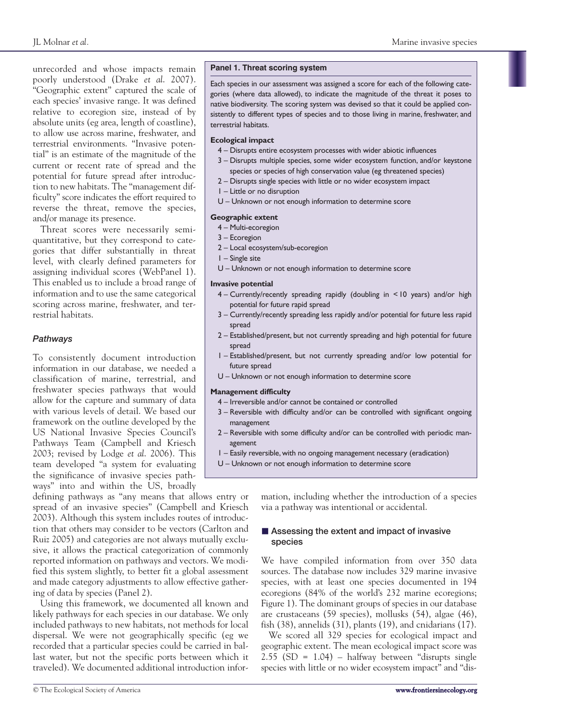unrecorded and whose impacts remain poorly understood (Drake *et al*. 2007). "Geographic extent" captured the scale of each species' invasive range. It was defined relative to ecoregion size, instead of by absolute units (eg area, length of coastline), to allow use across marine, freshwater, and terrestrial environments. "Invasive potential" is an estimate of the magnitude of the current or recent rate of spread and the potential for future spread after introduction to new habitats. The "management difficulty" score indicates the effort required to reverse the threat, remove the species, and/or manage its presence.

Threat scores were necessarily semiquantitative, but they correspond to categories that differ substantially in threat level, with clearly defined parameters for assigning individual scores (WebPanel 1). This enabled us to include a broad range of information and to use the same categorical scoring across marine, freshwater, and terrestrial habitats.

## *Pathways*

To consistently document introduction information in our database, we needed a classification of marine, terrestrial, and freshwater species pathways that would allow for the capture and summary of data with various levels of detail. We based our framework on the outline developed by the US National Invasive Species Council's Pathways Team (Campbell and Kriesch 2003; revised by Lodge *et al*. 2006). This team developed "a system for evaluating the significance of invasive species pathways" into and within the US, broadly

defining pathways as "any means that allows entry or spread of an invasive species" (Campbell and Kriesch 2003). Although this system includes routes of introduction that others may consider to be vectors (Carlton and Ruiz 2005) and categories are not always mutually exclusive, it allows the practical categorization of commonly reported information on pathways and vectors. We modified this system slightly, to better fit a global assessment and made category adjustments to allow effective gathering of data by species (Panel 2).

Using this framework, we documented all known and likely pathways for each species in our database. We only included pathways to new habitats, not methods for local dispersal. We were not geographically specific (eg we recorded that a particular species could be carried in ballast water, but not the specific ports between which it traveled). We documented additional introduction infor-

#### **Panel 1. Threat scoring system**

Each species in our assessment was assigned a score for each of the following categories (where data allowed), to indicate the magnitude of the threat it poses to native biodiversity. The scoring system was devised so that it could be applied consistently to different types of species and to those living in marine, freshwater, and terrestrial habitats.

#### **Ecological impact**

- 4 Disrupts entire ecosystem processes with wider abiotic influences
- 3 Disrupts multiple species, some wider ecosystem function, and/or keystone species or species of high conservation value (eg threatened species)
- 2 Disrupts single species with little or no wider ecosystem impact
- 1 Little or no disruption
- U Unknown or not enough information to determine score

#### **Geographic extent**

- 4 Multi-ecoregion
- 3 Ecoregion
- 2 Local ecosystem/sub-ecoregion
- 1 Single site
- U Unknown or not enough information to determine score

#### **Invasive potential**

- 4 Currently/recently spreading rapidly (doubling in <10 years) and/or high potential for future rapid spread
- 3 Currently/recently spreading less rapidly and/or potential for future less rapid spread
- 2 Established/present, but not currently spreading and high potential for future spread
- 1 Established/present, but not currently spreading and/or low potential for future spread
- U Unknown or not enough information to determine score

#### **Management difficulty**

- 4 Irreversible and/or cannot be contained or controlled
- 3 Reversible with difficulty and/or can be controlled with significant ongoing management
- 2 Reversible with some difficulty and/or can be controlled with periodic management
- 1 Easily reversible, with no ongoing management necessary (eradication)
- U Unknown or not enough information to determine score

mation, including whether the introduction of a species via a pathway was intentional or accidental.

# ■ Assessing the extent and impact of invasive **species**

We have compiled information from over 350 data sources. The database now includes 329 marine invasive species, with at least one species documented in 194 ecoregions (84% of the world's 232 marine ecoregions; Figure 1). The dominant groups of species in our database are crustaceans (59 species), mollusks (54), algae (46), fish (38), annelids (31), plants (19), and cnidarians (17).

We scored all 329 species for ecological impact and geographic extent. The mean ecological impact score was 2.55 (SD = 1.04) – halfway between "disrupts single species with little or no wider ecosystem impact" and "dis-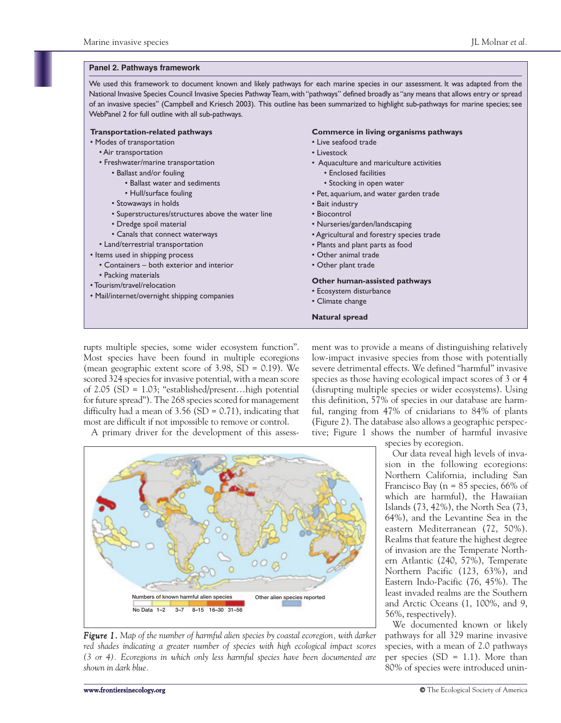#### **Panel 2. Pathways framework**

We used this framework to document known and likely pathways for each marine species in our assessment. It was adapted from the National Invasive Species Council Invasive Species Pathway Team,with "pathways" defined broadly as "any means that allows entry or spread of an invasive species" (Campbell and Kriesch 2003). This outline has been summarized to highlight sub-pathways for marine species; see WebPanel 2 for full outline with all sub-pathways.

#### **Transportation-related pathways**

- Modes of transportation
	- Air transportation
	- Freshwater/marine transportation
		- Ballast and/or fouling
			- Ballast water and sediments
			- Hull/surface fouling
		- Stowaways in holds
		- Superstructures/structures above the water line
		- Dredge spoil material
		- Canals that connect waterways
	- Land/terrestrial transportation
- Items used in shipping process
- Containers both exterior and interior
- Packing materials
- Tourism/travel/relocation
- Mail/internet/overnight shipping companies

#### **Commerce in living organisms pathways**

- Live seafood trade
- Livestock
- Aquaculture and mariculture activities • Enclosed facilities
	- Stocking in open water
- Pet, aquarium, and water garden trade
- Bait industry
- Biocontrol
- Nurseries/garden/landscaping
- Agricultural and forestry species trade
- Plants and plant parts as food
- Other animal trade
- Other plant trade

#### **Other human-assisted pathways**

- Ecosystem disturbance
- Climate change

#### **Natural spread**

rupts multiple species, some wider ecosystem function". Most species have been found in multiple ecoregions (mean geographic extent score of  $3.98$ , SD = 0.19). We scored 324 species for invasive potential, with a mean score of 2.05 (SD = 1.03; "established/present…high potential for future spread"). The 268 species scored for management difficulty had a mean of  $3.56$  (SD = 0.71), indicating that most are difficult if not impossible to remove or control.

ment was to provide a means of distinguishing relatively low-impact invasive species from those with potentially severe detrimental effects. We defined "harmful" invasive species as those having ecological impact scores of 3 or 4 (disrupting multiple species or wider ecosystems). Using this definition, 57% of species in our database are harmful, ranging from 47% of cnidarians to 84% of plants (Figure 2). The database also allows a geographic perspective; Figure 1 shows the number of harmful invasive

A primary driver for the development of this assess-



*Figure 1. Map of the number of harmful alien species by coastal ecoregion, with darker red shades indicating a greater number of species with high ecological impact scores (3 or 4). Ecoregions in which only less harmful species have been documented are shown in dark blue.*

species by ecoregion.

Our data reveal high levels of invasion in the following ecoregions: Northern California, including San Francisco Bay ( $n = 85$  species, 66% of which are harmful), the Hawaiian Islands (73, 42%), the North Sea (73, 64%), and the Levantine Sea in the eastern Mediterranean (72, 50%). Realms that feature the highest degree of invasion are the Temperate Northern Atlantic (240, 57%), Temperate Northern Pacific (123, 63%), and Eastern Indo-Pacific (76, 45%). The least invaded realms are the Southern and Arctic Oceans (1, 100%, and 9, 56%, respectively).

We documented known or likely pathways for all 329 marine invasive species, with a mean of 2.0 pathways per species  $(SD = 1.1)$ . More than 80% of species were introduced unin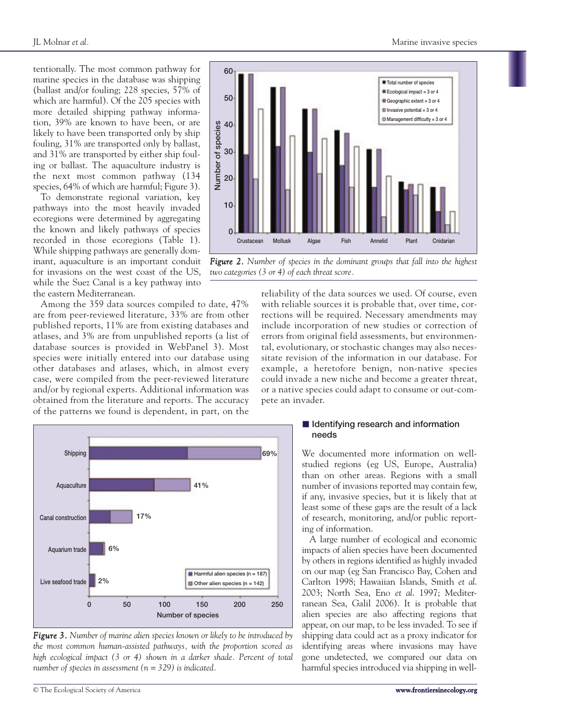tentionally. The most common pathway for marine species in the database was shipping (ballast and/or fouling; 228 species, 57% of which are harmful). Of the 205 species with more detailed shipping pathway information, 39% are known to have been, or are likely to have been transported only by ship fouling, 31% are transported only by ballast, and 31% are transported by either ship fouling or ballast. The aquaculture industry is the next most common pathway (134 species, 64% of which are harmful; Figure 3).

To demonstrate regional variation, key pathways into the most heavily invaded ecoregions were determined by aggregating the known and likely pathways of species recorded in those ecoregions (Table 1). While shipping pathways are generally dominant, aquaculture is an important conduit for invasions on the west coast of the US, while the Suez Canal is a key pathway into the eastern Mediterranean.

Among the 359 data sources compiled to date, 47% are from peer-reviewed literature, 33% are from other published reports, 11% are from existing databases and atlases, and 3% are from unpublished reports (a list of database sources is provided in WebPanel 3). Most species were initially entered into our database using other databases and atlases, which, in almost every case, were compiled from the peer-reviewed literature and/or by regional experts. Additional information was obtained from the literature and reports. The accuracy of the patterns we found is dependent, in part, on the



*Figure 3. Number of marine alien species known or likely to be introduced by the most common human-assisted pathways, with the proportion scored as high ecological impact (3 or 4) shown in a darker shade. Percent of total number of species in assessment (n = 329) is indicated.* 



*Figure 2. Number of species in the dominant groups that fall into the highest two categories (3 or 4) of each threat score.*

reliability of the data sources we used. Of course, even with reliable sources it is probable that, over time, corrections will be required. Necessary amendments may include incorporation of new studies or correction of errors from original field assessments, but environmental, evolutionary, or stochastic changes may also necessitate revision of the information in our database. For example, a heretofore benign, non-native species could invade a new niche and become a greater threat, or a native species could adapt to consume or out-compete an invader.

# $\blacksquare$  Identifying research and information **needs**

We documented more information on wellstudied regions (eg US, Europe, Australia) than on other areas. Regions with a small number of invasions reported may contain few, if any, invasive species, but it is likely that at least some of these gaps are the result of a lack of research, monitoring, and/or public reporting of information.

A large number of ecological and economic impacts of alien species have been documented by others in regions identified as highly invaded on our map (eg San Francisco Bay, Cohen and Carlton 1998; Hawaiian Islands, Smith *et al*. 2003; North Sea, Eno *et al*. 1997; Mediterranean Sea, Galil 2006). It is probable that alien species are also affecting regions that appear, on our map, to be less invaded. To see if shipping data could act as a proxy indicator for identifying areas where invasions may have gone undetected, we compared our data on harmful species introduced via shipping in well-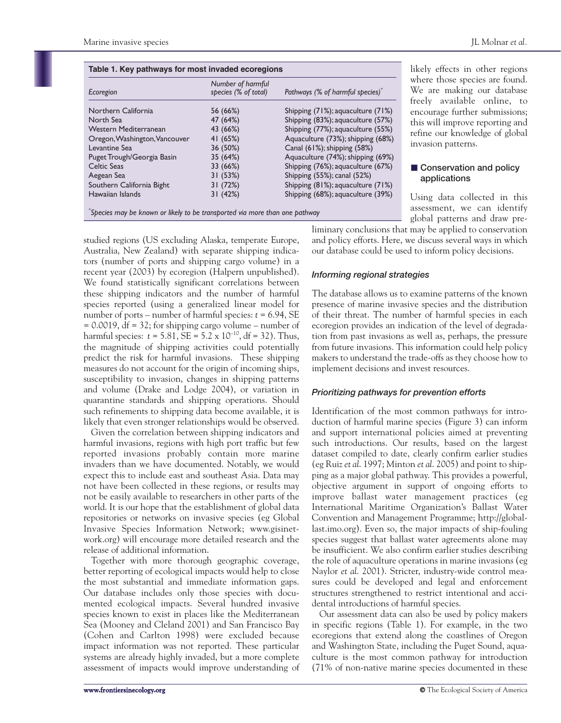| Table 1. Key pathways for most invaded ecoregions |                                           |                                              |  |  |  |  |
|---------------------------------------------------|-------------------------------------------|----------------------------------------------|--|--|--|--|
| Ecoregion                                         | Number of harmful<br>species (% of total) | Pathways (% of harmful species) <sup>*</sup> |  |  |  |  |
| Northern California                               | 56 (66%)                                  | Shipping (71%); aquaculture (71%)            |  |  |  |  |
| North Sea                                         | 47 (64%)                                  | Shipping (83%); aquaculture (57%)            |  |  |  |  |
| Western Mediterranean                             | 43 (66%)                                  | Shipping (77%); aquaculture (55%)            |  |  |  |  |
| Oregon, Washington, Vancouver                     | 41 (65%)                                  | Aquaculture (73%); shipping (68%)            |  |  |  |  |
| Levantine Sea                                     | 36 (50%)                                  | Canal (61%); shipping (58%)                  |  |  |  |  |
| Puget Trough/Georgia Basin                        | 35 (64%)                                  | Aquaculture (74%); shipping (69%)            |  |  |  |  |
| Celtic Seas                                       | 33 (66%)                                  | Shipping (76%); aquaculture (67%)            |  |  |  |  |
| Aegean Sea                                        | 31(53%)                                   | Shipping (55%); canal (52%)                  |  |  |  |  |
| Southern California Bight                         | 31 (72%)                                  | Shipping (81%); aquaculture (71%)            |  |  |  |  |
| Hawaiian Islands                                  | 31(42%)                                   | Shipping (68%); aquaculture (39%)            |  |  |  |  |

*\* Species may be known or likely to be transported via more than one pathway*

studied regions (US excluding Alaska, temperate Europe, Australia, New Zealand) with separate shipping indicators (number of ports and shipping cargo volume) in a recent year (2003) by ecoregion (Halpern unpublished). We found statistically significant correlations between these shipping indicators and the number of harmful species reported (using a generalized linear model for number of ports – number of harmful species:  $t = 6.94$ , SE  $= 0.0019$ , df  $= 32$ ; for shipping cargo volume – number of harmful species:  $t = 5.81$ ,  $SE = 5.2 \times 10^{-10}$ , df = 32). Thus, the magnitude of shipping activities could potentially predict the risk for harmful invasions. These shipping measures do not account for the origin of incoming ships, susceptibility to invasion, changes in shipping patterns and volume (Drake and Lodge 2004), or variation in quarantine standards and shipping operations. Should such refinements to shipping data become available, it is likely that even stronger relationships would be observed.

Given the correlation between shipping indicators and harmful invasions, regions with high port traffic but few reported invasions probably contain more marine invaders than we have documented. Notably, we would expect this to include east and southeast Asia. Data may not have been collected in these regions, or results may not be easily available to researchers in other parts of the world. It is our hope that the establishment of global data repositories or networks on invasive species (eg Global Invasive Species Information Network; www.gisinetwork.org) will encourage more detailed research and the release of additional information.

Together with more thorough geographic coverage, better reporting of ecological impacts would help to close the most substantial and immediate information gaps. Our database includes only those species with documented ecological impacts. Several hundred invasive species known to exist in places like the Mediterranean Sea (Mooney and Cleland 2001) and San Francisco Bay (Cohen and Carlton 1998) were excluded because impact information was not reported. These particular systems are already highly invaded, but a more complete assessment of impacts would improve understanding of

likely effects in other regions where those species are found. We are making our database freely available online, to encourage further submissions; this will improve reporting and refine our knowledge of global invasion patterns.

# **E** Conservation and policy **applications**

Using data collected in this assessment, we can identify global patterns and draw pre-

liminary conclusions that may be applied to conservation and policy efforts. Here, we discuss several ways in which our database could be used to inform policy decisions.

#### *Informing regional strategies*

The database allows us to examine patterns of the known presence of marine invasive species and the distribution of their threat. The number of harmful species in each ecoregion provides an indication of the level of degradation from past invasions as well as, perhaps, the pressure from future invasions. This information could help policy makers to understand the trade-offs as they choose how to implement decisions and invest resources.

#### *Prioritizing pathways for prevention efforts*

Identification of the most common pathways for introduction of harmful marine species (Figure 3) can inform and support international policies aimed at preventing such introductions. Our results, based on the largest dataset compiled to date, clearly confirm earlier studies (eg Ruiz *et al*. 1997; Minton *et al*. 2005) and point to shipping as a major global pathway. This provides a powerful, objective argument in support of ongoing efforts to improve ballast water management practices (eg International Maritime Organization's Ballast Water Convention and Management Programme; http://globallast.imo.org). Even so, the major impacts of ship-fouling species suggest that ballast water agreements alone may be insufficient. We also confirm earlier studies describing the role of aquaculture operations in marine invasions (eg Naylor *et al*. 2001). Stricter, industry-wide control measures could be developed and legal and enforcement structures strengthened to restrict intentional and accidental introductions of harmful species.

Our assessment data can also be used by policy makers in specific regions (Table 1). For example, in the two ecoregions that extend along the coastlines of Oregon and Washington State, including the Puget Sound, aquaculture is the most common pathway for introduction (71% of non-native marine species documented in these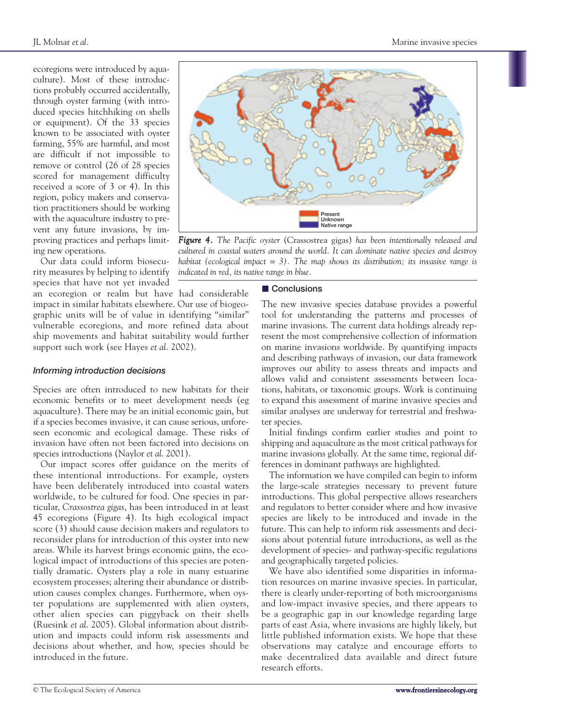ecoregions were introduced by aquaculture). Most of these introductions probably occurred accidentally, through oyster farming (with introduced species hitchhiking on shells or equipment). Of the 33 species known to be associated with oyster farming, 55% are harmful, and most are difficult if not impossible to remove or control (26 of 28 species scored for management difficulty received a score of 3 or 4). In this region, policy makers and conservation practitioners should be working with the aquaculture industry to prevent any future invasions, by improving practices and perhaps limiting new operations.

Our data could inform biosecurity measures by helping to identify species that have not yet invaded an ecoregion or realm but have had considerable impact in similar habitats elsewhere. Our use of biogeographic units will be of value in identifying "similar" vulnerable ecoregions, and more refined data about ship movements and habitat suitability would further support such work (see Hayes *et al*. 2002).

#### *Informing introduction decisions*

Species are often introduced to new habitats for their economic benefits or to meet development needs (eg aquaculture). There may be an initial economic gain, but if a species becomes invasive, it can cause serious, unforeseen economic and ecological damage. These risks of invasion have often not been factored into decisions on species introductions (Naylor *et al*. 2001).

Our impact scores offer guidance on the merits of these intentional introductions. For example, oysters have been deliberately introduced into coastal waters worldwide, to be cultured for food. One species in particular, *Crassostrea gigas*, has been introduced in at least 45 ecoregions (Figure 4). Its high ecological impact score (3) should cause decision makers and regulators to reconsider plans for introduction of this oyster into new areas. While its harvest brings economic gains, the ecological impact of introductions of this species are potentially dramatic. Oysters play a role in many estuarine ecosystem processes; altering their abundance or distribution causes complex changes. Furthermore, when oyster populations are supplemented with alien oysters, other alien species can piggyback on their shells (Ruesink *et al*. 2005). Global information about distribution and impacts could inform risk assessments and decisions about whether, and how, species should be introduced in the future.



*Figure 4. The Pacific oyster* (Crassostrea gigas) *has been intentionally released and cultured in coastal waters around the world. It can dominate native species and destroy habitat (ecological impact = 3). The map shows its distribution; its invasive range is indicated in red, its native range in blue.*

# **Conclusions**

The new invasive species database provides a powerful tool for understanding the patterns and processes of marine invasions. The current data holdings already represent the most comprehensive collection of information on marine invasions worldwide. By quantifying impacts and describing pathways of invasion, our data framework improves our ability to assess threats and impacts and allows valid and consistent assessments between locations, habitats, or taxonomic groups. Work is continuing to expand this assessment of marine invasive species and similar analyses are underway for terrestrial and freshwater species.

Initial findings confirm earlier studies and point to shipping and aquaculture as the most critical pathways for marine invasions globally. At the same time, regional differences in dominant pathways are highlighted.

The information we have compiled can begin to inform the large-scale strategies necessary to prevent future introductions. This global perspective allows researchers and regulators to better consider where and how invasive species are likely to be introduced and invade in the future. This can help to inform risk assessments and decisions about potential future introductions, as well as the development of species- and pathway-specific regulations and geographically targeted policies.

We have also identified some disparities in information resources on marine invasive species. In particular, there is clearly under-reporting of both microorganisms and low-impact invasive species, and there appears to be a geographic gap in our knowledge regarding large parts of east Asia, where invasions are highly likely, but little published information exists. We hope that these observations may catalyze and encourage efforts to make decentralized data available and direct future research efforts.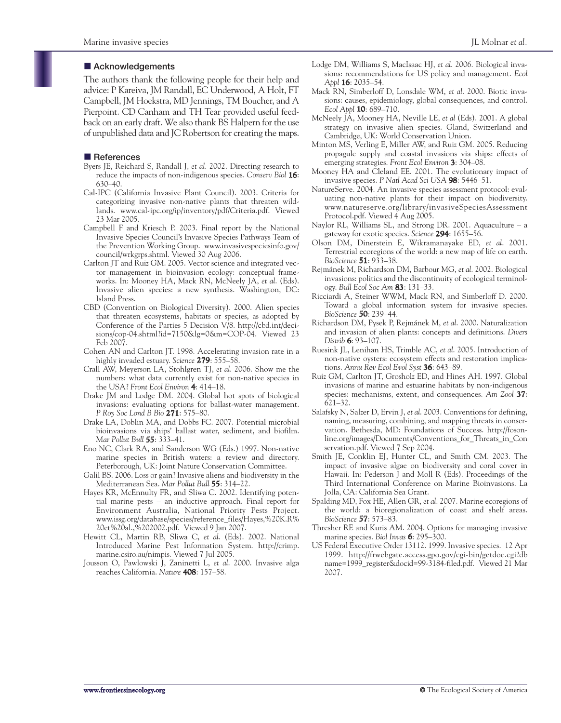# $\blacksquare$  Acknowledgements

The authors thank the following people for their help and advice: P Kareiva, JM Randall, EC Underwood, A Holt, FT Campbell, JM Hoekstra, MD Jennings, TM Boucher, and A Pierpoint. CD Canham and TH Tear provided useful feedback on an early draft. We also thank BS Halpern for the use of unpublished data and JC Robertson for creating the maps.

# $\blacksquare$  References

- Byers JE, Reichard S, Randall J, *et al*. 2002. Directing research to reduce the impacts of non-indigenous species. *Conserv Biol* **16**: 630–40.
- Cal-IPC (California Invasive Plant Council). 2003. Criteria for categorizing invasive non-native plants that threaten wildlands. www.cal-ipc.org/ip/inventory/pdf/Criteria.pdf. Viewed 23 Mar 2005.
- Campbell F and Kriesch P. 2003. Final report by the National Invasive Species Council's Invasive Species Pathways Team of the Prevention Working Group. www.invasivespeciesinfo.gov/ council/wrkgrps.shtml. Viewed 30 Aug 2006.
- Carlton JT and Ruiz GM. 2005. Vector science and integrated vector management in bioinvasion ecology: conceptual frameworks. In: Mooney HA, Mack RN, McNeely JA, *et al*. (Eds). Invasive alien species: a new synthesis. Washington, DC: Island Press.
- CBD (Convention on Biological Diversity). 2000. Alien species that threaten ecosystems, habitats or species, as adopted by Conference of the Parties 5 Decision V/8. http://cbd.int/decisions/cop-04.shtml?id=7150&lg=0&m=COP-04. Viewed 23 Feb 2007.
- Cohen AN and Carlton JT. 1998. Accelerating invasion rate in a highly invaded estuary. *Science* **279**: 555–58.
- Crall AW, Meyerson LA, Stohlgren TJ, *et al*. 2006. Show me the numbers: what data currently exist for non-native species in the USA? *Front Ecol Environ* **4**: 414–18.
- Drake JM and Lodge DM. 2004. Global hot spots of biological invasions: evaluating options for ballast-water management. *P Roy Soc Lond B Bio* **271**: 575–80.
- Drake LA, Doblin MA, and Dobbs FC. 2007. Potential microbial bioinvasions via ships' ballast water, sediment, and biofilm. *Mar Pollut Bull* **55**: 333–41.
- Eno NC, Clark RA, and Sanderson WG (Eds.) 1997. Non-native marine species in British waters: a review and directory. Peterborough, UK: Joint Nature Conservation Committee.
- Galil BS. 2006. Loss or gain? Invasive aliens and biodiversity in the Mediterranean Sea. *Mar Pollut Bull* **55**: 314–22.
- Hayes KR, McEnnulty FR, and Sliwa C. 2002. Identifying potential marine pests – an inductive approach. Final report for Environment Australia, National Priority Pests Project. www.issg.org/database/species/reference\_files/Hayes,%20K.R% 20et%20al.,%202002.pdf. Viewed 9 Jan 2007.
- Hewitt CL, Martin RB, Sliwa C, *et al*. (Eds). 2002. National Introduced Marine Pest Information System. http://crimp. marine.csiro.au/nimpis. Viewed 7 Jul 2005.
- Jousson O, Pawlowski J, Zaninetti L, *et al*. 2000. Invasive alga reaches California. *Nature* **408**: 157–58.
- Lodge DM, Williams S, MacIsaac HJ, *et al*. 2006. Biological invasions: recommendations for US policy and management. *Ecol Appl* **16**: 2035–54.
- Mack RN, Simberloff D, Lonsdale WM, *et al*. 2000. Biotic invasions: causes, epidemiology, global consequences, and control. *Ecol Appl* **10**: 689–710.
- McNeely JA, Mooney HA, Neville LE, *et al* (Eds). 2001. A global strategy on invasive alien species. Gland, Switzerland and Cambridge, UK: World Conservation Union.
- Minton MS, Verling E, Miller AW, and Ruiz GM. 2005. Reducing propagule supply and coastal invasions via ships: effects of emerging strategies. *Front Ecol Environ* **3**: 304–08.
- Mooney HA and Cleland EE. 2001. The evolutionary impact of invasive species. *P Natl Acad Sci USA* **98**: 5446–51.
- NatureServe. 2004. An invasive species assessment protocol: evaluating non-native plants for their impact on biodiversity. www.natureserve.org/library/invasiveSpeciesAssessment Protocol.pdf. Viewed 4 Aug 2005.
- Naylor RL, Williams SL, and Strong DR. 2001. Aquaculture a gateway for exotic species. *Science* **294**: 1655–56.
- Olson DM, Dinerstein E, Wikramanayake ED, *et al*. 2001. Terrestrial ecoregions of the world: a new map of life on earth. *BioScience* **51**: 933–38.
- Rejmánek M, Richardson DM, Barbour MG, *et al*. 2002. Biological invasions: politics and the discontinuity of ecological terminology. *Bull Ecol Soc Am* **83**: 131–33.
- Ricciardi A, Steiner WWM, Mack RN, and Simberloff D. 2000. Toward a global information system for invasive species. *BioScience* **50**: 239–44.
- Richardson DM, Pysek P, Rejmánek M, *et al*. 2000. Naturalization and invasion of alien plants: concepts and definitions. *Divers Distrib* **6**: 93–107.
- Ruesink JL, Lenihan HS, Trimble AC, *et al*. 2005. Introduction of non-native oysters: ecosystem effects and restoration implications. *Annu Rev Ecol Evol Syst* **36**: 643–89.
- Ruiz GM, Carlton JT, Grosholz ED, and Hines AH. 1997. Global invasions of marine and estuarine habitats by non-indigenous species: mechanisms, extent, and consequences. *Am Zool* **37**: 621–32.
- Salafsky N, Salzer D, Ervin J, *et al*. 2003. Conventions for defining, naming, measuring, combining, and mapping threats in conservation. Bethesda, MD: Foundations of Success. http://fosonline.org/images/Documents/Conventions\_for\_Threats\_in\_Con servation.pdf. Viewed 7 Sep 2004.
- Smith JE, Conklin EJ, Hunter CL, and Smith CM. 2003. The impact of invasive algae on biodiversity and coral cover in Hawaii. In: Pederson J and Moll R (Eds). Proceedings of the Third International Conference on Marine Bioinvasions. La Jolla, CA: California Sea Grant.
- Spalding MD, Fox HE, Allen GR, *et al*. 2007. Marine ecoregions of the world: a bioregionalization of coast and shelf areas. *BioScience* **57**: 573–83.
- Thresher RE and Kuris AM. 2004. Options for managing invasive marine species. *Biol Invas* **6**: 295–300.
- US Federal Executive Order 13112. 1999. Invasive species. 12 Apr 1999. http://frwebgate.access.gpo.gov/cgi-bin/getdoc.cgi?db name=1999\_register&docid=99-3184-filed.pdf. Viewed 21 Mar 2007.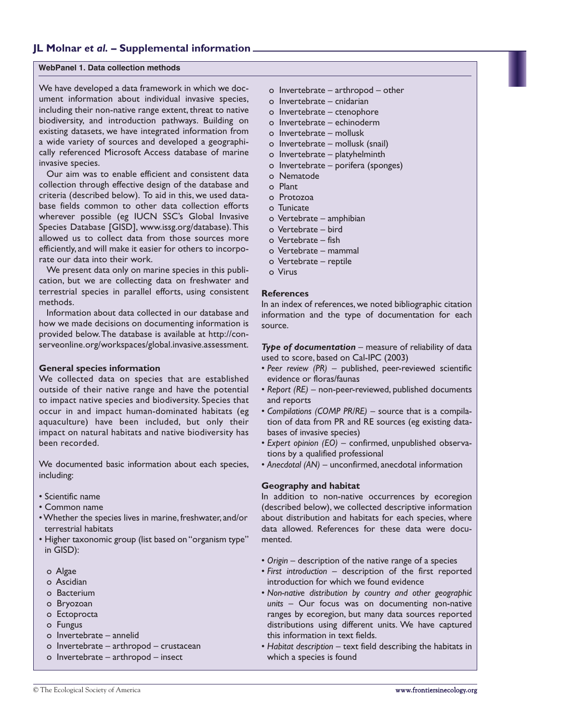# **JL Molnar** *et al.* **– Supplemental information**

#### **WebPanel 1. Data collection methods**

We have developed a data framework in which we document information about individual invasive species, including their non-native range extent, threat to native biodiversity, and introduction pathways. Building on existing datasets, we have integrated information from a wide variety of sources and developed a geographically referenced Microsoft Access database of marine invasive species.

Our aim was to enable efficient and consistent data collection through effective design of the database and criteria (described below). To aid in this, we used database fields common to other data collection efforts wherever possible (eg IUCN SSC's Global Invasive Species Database [GISD], www.issg.org/database).This allowed us to collect data from those sources more efficiently, and will make it easier for others to incorporate our data into their work.

We present data only on marine species in this publication, but we are collecting data on freshwater and terrestrial species in parallel efforts, using consistent methods.

Information about data collected in our database and how we made decisions on documenting information is provided below.The database is available at http://conserveonline.org/workspaces/global.invasive.assessment.

#### **General species information**

We collected data on species that are established outside of their native range and have the potential to impact native species and biodiversity. Species that occur in and impact human-dominated habitats (eg aquaculture) have been included, but only their impact on natural habitats and native biodiversity has been recorded.

We documented basic information about each species, including:

- Scientific name
- Common name
- Whether the species lives in marine, freshwater, and/or terrestrial habitats
- Higher taxonomic group (list based on "organism type" in GISD):
	- o Algae
	- o Ascidian
	- o Bacterium
	- o Bryozoan
	- o Ectoprocta
	- o Fungus
	- o Invertebrate annelid
	- o Invertebrate arthropod crustacean
	- o Invertebrate arthropod insect
- o Invertebrate arthropod other
- o Invertebrate cnidarian
- o Invertebrate ctenophore
- o Invertebrate echinoderm
- o Invertebrate mollusk
- o Invertebrate mollusk (snail)
- o Invertebrate platyhelminth
- o Invertebrate porifera (sponges)
- o Nematode
- o Plant
- o Protozoa
- o Tunicate
- o Vertebrate amphibian
- o Vertebrate bird
- o Vertebrate fish
- o Vertebrate mammal
- o Vertebrate reptile
- o Virus

#### **References**

In an index of references, we noted bibliographic citation information and the type of documentation for each source.

*Type of documentation* – measure of reliability of data used to score, based on Cal-IPC (2003)

- *Peer review (PR)* published, peer-reviewed scientific evidence or floras/faunas
- *Report (RE)* non-peer-reviewed, published documents and reports
- *Compilations (COMP PR/RE)* source that is a compilation of data from PR and RE sources (eg existing databases of invasive species)
- *Expert opinion (EO)* confirmed, unpublished observations by a qualified professional
- *Anecdotal (AN)* unconfirmed, anecdotal information

#### **Geography and habitat**

In addition to non-native occurrences by ecoregion (described below), we collected descriptive information about distribution and habitats for each species, where data allowed. References for these data were documented.

- *Origin* description of the native range of a species
- *First introduction* description of the first reported introduction for which we found evidence
- *Non-native distribution by country and other geographic units* – Our focus was on documenting non-native ranges by ecoregion, but many data sources reported distributions using different units. We have captured this information in text fields.
- *Habitat description* text field describing the habitats in which a species is found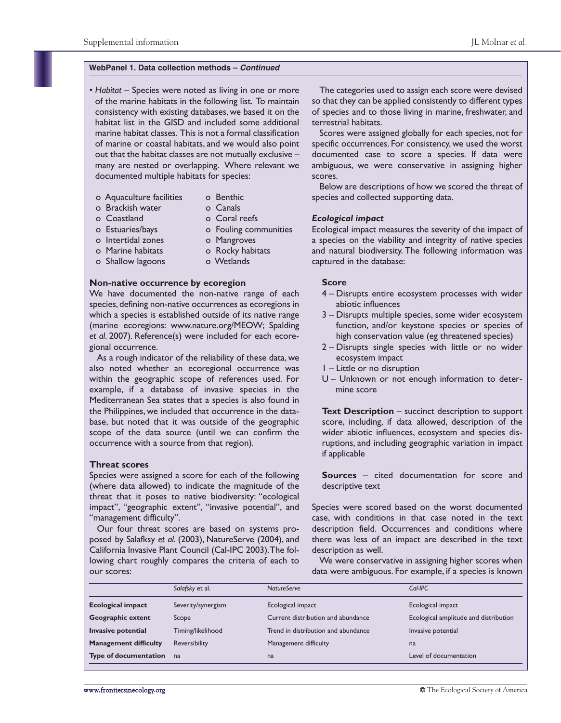#### **WebPanel 1. Data collection methods –** *Continued*

- *Habitat* Species were noted as living in one or more of the marine habitats in the following list. To maintain consistency with existing databases, we based it on the habitat list in the GISD and included some additional marine habitat classes. This is not a formal classification of marine or coastal habitats, and we would also point out that the habitat classes are not mutually exclusive – many are nested or overlapping. Where relevant we documented multiple habitats for species:
	- o Aquaculture facilities o Benthic
		-
	- o Brackish water o Canals o Coastland o Coral reefs
		-
	- o Estuaries/bays o Fouling communities
		-
	- o Intertidal zones o Mangroves
	- o Marine habitats o Rocky habitats
	- o Shallow lagoons o Wetlands
- 

#### **Non-native occurrence by ecoregion**

We have documented the non-native range of each species, defining non-native occurrences as ecoregions in which a species is established outside of its native range (marine ecoregions: www.nature.org/MEOW; Spalding *et al*. 2007). Reference(s) were included for each ecoregional occurrence.

As a rough indicator of the reliability of these data, we also noted whether an ecoregional occurrence was within the geographic scope of references used. For example, if a database of invasive species in the Mediterranean Sea states that a species is also found in the Philippines, we included that occurrence in the database, but noted that it was outside of the geographic scope of the data source (until we can confirm the occurrence with a source from that region).

#### **Threat scores**

Species were assigned a score for each of the following (where data allowed) to indicate the magnitude of the threat that it poses to native biodiversity: "ecological impact", "geographic extent", "invasive potential", and "management difficulty".

Our four threat scores are based on systems proposed by Salafksy *et al*. (2003), NatureServe (2004), and California Invasive Plant Council (Cal-IPC 2003).The following chart roughly compares the criteria of each to our scores:

The categories used to assign each score were devised so that they can be applied consistently to different types of species and to those living in marine, freshwater, and terrestrial habitats.

Scores were assigned globally for each species, not for specific occurrences. For consistency, we used the worst documented case to score a species. If data were ambiguous, we were conservative in assigning higher scores.

Below are descriptions of how we scored the threat of species and collected supporting data.

#### *Ecological impact*

Ecological impact measures the severity of the impact of a species on the viability and integrity of native species and natural biodiversity. The following information was captured in the database:

#### **Score**

- 4 Disrupts entire ecosystem processes with wider abiotic influences
- 3 Disrupts multiple species, some wider ecosystem function, and/or keystone species or species of high conservation value (eg threatened species)
- 2 Disrupts single species with little or no wider ecosystem impact
- 1 Little or no disruption
- U Unknown or not enough information to determine score

**Text Description** – succinct description to support score, including, if data allowed, description of the wider abiotic influences, ecosystem and species disruptions, and including geographic variation in impact if applicable

**Sources** – cited documentation for score and descriptive text

Species were scored based on the worst documented case, with conditions in that case noted in the text description field. Occurrences and conditions where there was less of an impact are described in the text description as well.

We were conservative in assigning higher scores when data were ambiguous. For example, if a species is known

|                                                | Salafsky et al.   | <b>NatureServe</b>                  | $Cal$ -IPC                            |
|------------------------------------------------|-------------------|-------------------------------------|---------------------------------------|
| <b>Ecological impact</b><br>Severity/synergism |                   | Ecological impact                   | Ecological impact                     |
| <b>Geographic extent</b>                       | Scope             | Current distribution and abundance  | Ecological amplitude and distribution |
| Invasive potential                             | Timing/likelihood | Trend in distribution and abundance | Invasive potential                    |
| <b>Management difficulty</b>                   | Reversibility     | Management difficulty               | na                                    |
| Type of documentation                          | na                | na                                  | Level of documentation                |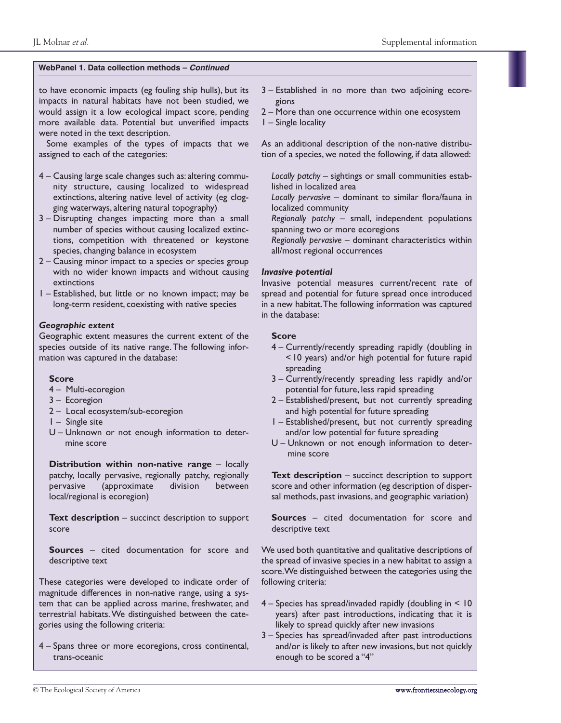to have economic impacts (eg fouling ship hulls), but its impacts in natural habitats have not been studied, we would assign it a low ecological impact score, pending more available data. Potential but unverified impacts were noted in the text description.

Some examples of the types of impacts that we assigned to each of the categories:

- 4 Causing large scale changes such as: altering community structure, causing localized to widespread extinctions, altering native level of activity (eg clogging waterways, altering natural topography)
- 3 Disrupting changes impacting more than a small number of species without causing localized extinctions, competition with threatened or keystone species, changing balance in ecosystem
- 2 Causing minor impact to a species or species group with no wider known impacts and without causing extinctions
- 1 Established, but little or no known impact; may be long-term resident, coexisting with native species

#### *Geographic extent*

Geographic extent measures the current extent of the species outside of its native range. The following information was captured in the database:

#### **Score**

- 4 Multi-ecoregion
- 3 Ecoregion
- 2 Local ecosystem/sub-ecoregion
- 1 Single site
- U Unknown or not enough information to determine score

**Distribution within non-native range** – locally patchy, locally pervasive, regionally patchy, regionally pervasive (approximate division between local/regional is ecoregion)

**Text description** – succinct description to support score

**Sources** – cited documentation for score and descriptive text

These categories were developed to indicate order of magnitude differences in non-native range, using a system that can be applied across marine, freshwater, and terrestrial habitats.We distinguished between the categories using the following criteria:

4 – Spans three or more ecoregions, cross continental, trans-oceanic

- 3 Established in no more than two adjoining ecoregions
- 2 More than one occurrence within one ecosystem
- 1 Single locality

As an additional description of the non-native distribution of a species, we noted the following, if data allowed:

- *Locally patchy* sightings or small communities established in localized area
- *Locally pervasive* dominant to similar flora/fauna in localized community
- *Regionally patchy* small, independent populations spanning two or more ecoregions
- *Regionally pervasive* dominant characteristics within all/most regional occurrences

#### *Invasive potential*

Invasive potential measures current/recent rate of spread and potential for future spread once introduced in a new habitat.The following information was captured in the database:

#### **Score**

- 4 Currently/recently spreading rapidly (doubling in < 10 years) and/or high potential for future rapid spreading
- 3 Currently/recently spreading less rapidly and/or potential for future, less rapid spreading
- 2 Established/present, but not currently spreading and high potential for future spreading
- 1 Established/present, but not currently spreading and/or low potential for future spreading
- U Unknown or not enough information to determine score

**Text description** – succinct description to support score and other information (eg description of dispersal methods, past invasions, and geographic variation)

**Sources** – cited documentation for score and descriptive text

We used both quantitative and qualitative descriptions of the spread of invasive species in a new habitat to assign a score.We distinguished between the categories using the following criteria:

- 4 Species has spread/invaded rapidly (doubling in < 10 years) after past introductions, indicating that it is likely to spread quickly after new invasions
- 3 Species has spread/invaded after past introductions and/or is likely to after new invasions, but not quickly enough to be scored a "4"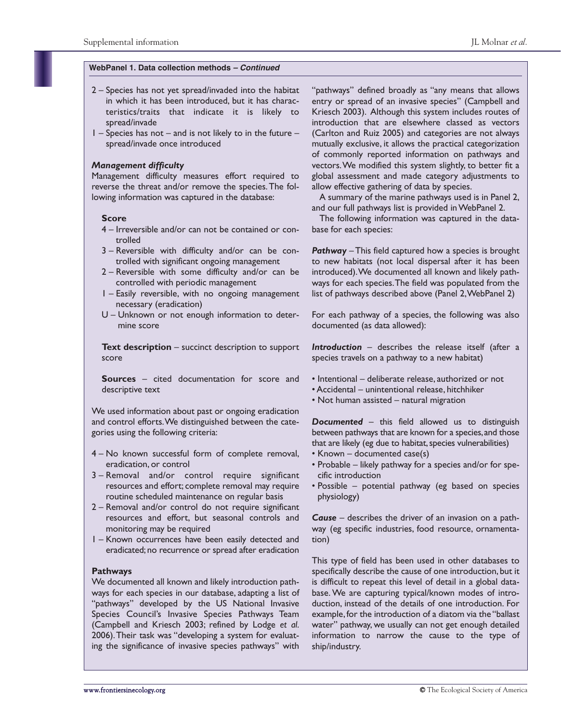#### **WebPanel 1. Data collection methods** *– Continued*

- 2 Species has not yet spread/invaded into the habitat in which it has been introduced, but it has characteristics/traits that indicate it is likely to spread/invade
- 1 Species has not and is not likely to in the future spread/invade once introduced

#### *Management difficulty*

Management difficulty measures effort required to reverse the threat and/or remove the species.The following information was captured in the database:

#### **Score**

- 4 Irreversible and/or can not be contained or controlled
- 3 Reversible with difficulty and/or can be controlled with significant ongoing management
- 2 Reversible with some difficulty and/or can be controlled with periodic management
- 1 Easily reversible, with no ongoing management necessary (eradication)
- U Unknown or not enough information to determine score

**Text description** – succinct description to support score

**Sources** – cited documentation for score and descriptive text

We used information about past or ongoing eradication and control efforts.We distinguished between the categories using the following criteria:

- 4 No known successful form of complete removal, eradication, or control
- 3 Removal and/or control require significant resources and effort; complete removal may require routine scheduled maintenance on regular basis
- 2 Removal and/or control do not require significant resources and effort, but seasonal controls and monitoring may be required
- 1 Known occurrences have been easily detected and eradicated; no recurrence or spread after eradication

#### **Pathways**

We documented all known and likely introduction pathways for each species in our database, adapting a list of "pathways" developed by the US National Invasive Species Council's Invasive Species Pathways Team (Campbell and Kriesch 2003; refined by Lodge *et al*. 2006).Their task was "developing a system for evaluating the significance of invasive species pathways" with

"pathways" defined broadly as "any means that allows entry or spread of an invasive species" (Campbell and Kriesch 2003). Although this system includes routes of introduction that are elsewhere classed as vectors (Carlton and Ruiz 2005) and categories are not always mutually exclusive, it allows the practical categorization of commonly reported information on pathways and vectors.We modified this system slightly, to better fit a global assessment and made category adjustments to allow effective gathering of data by species.

A summary of the marine pathways used is in Panel 2, and our full pathways list is provided in WebPanel 2.

The following information was captured in the database for each species:

*Pathway* – This field captured how a species is brought to new habitats (not local dispersal after it has been introduced).We documented all known and likely pathways for each species.The field was populated from the list of pathways described above (Panel 2,WebPanel 2)

For each pathway of a species, the following was also documented (as data allowed):

*Introduction* – describes the release itself (after a species travels on a pathway to a new habitat)

- Intentional deliberate release, authorized or not
- Accidental unintentional release, hitchhiker
- Not human assisted natural migration

*Documented* – this field allowed us to distinguish between pathways that are known for a species, and those that are likely (eg due to habitat, species vulnerabilities)

- Known documented case(s)
- Probable likely pathway for a species and/or for specific introduction
- Possible potential pathway (eg based on species physiology)

*Cause* – describes the driver of an invasion on a pathway (eg specific industries, food resource, ornamentation)

This type of field has been used in other databases to specifically describe the cause of one introduction, but it is difficult to repeat this level of detail in a global database. We are capturing typical/known modes of introduction, instead of the details of one introduction. For example,for the introduction of a diatom via the "ballast water" pathway, we usually can not get enough detailed information to narrow the cause to the type of ship/industry.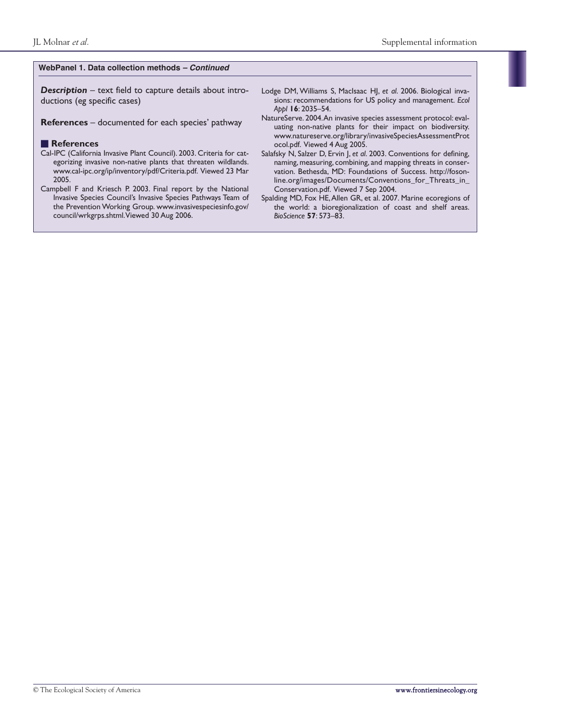#### **WebPanel 1. Data collection methods** *– Continued*

*Description* – text field to capture details about introductions (eg specific cases)

**References** – documented for each species' pathway

#### ■ **References**

- Cal-IPC (California Invasive Plant Council). 2003. Criteria for categorizing invasive non-native plants that threaten wildlands. www.cal-ipc.org/ip/inventory/pdf/Criteria.pdf. Viewed 23 Mar 2005.
- Campbell F and Kriesch P. 2003. Final report by the National Invasive Species Council's Invasive Species Pathways Team of the Prevention Working Group. www.invasivespeciesinfo.gov/ council/wrkgrps.shtml.Viewed 30 Aug 2006.
- Lodge DM, Williams S, MacIsaac HJ, *et al*. 2006. Biological invasions: recommendations for US policy and management. *Ecol Appl* **16**: 2035–54.
- NatureServe. 2004.An invasive species assessment protocol: evaluating non-native plants for their impact on biodiversity. www.natureserve.org/library/invasiveSpeciesAssessmentProt ocol.pdf. Viewed 4 Aug 2005.
- Salafsky N, Salzer D, Ervin J, *et al*. 2003. Conventions for defining, naming, measuring, combining, and mapping threats in conservation. Bethesda, MD: Foundations of Success. http://fosonline.org/images/Documents/Conventions\_for\_Threats\_in\_ Conservation.pdf. Viewed 7 Sep 2004.
- Spalding MD, Fox HE,Allen GR, et al. 2007. Marine ecoregions of the world: a bioregionalization of coast and shelf areas. *BioScience* **57**: 573–83.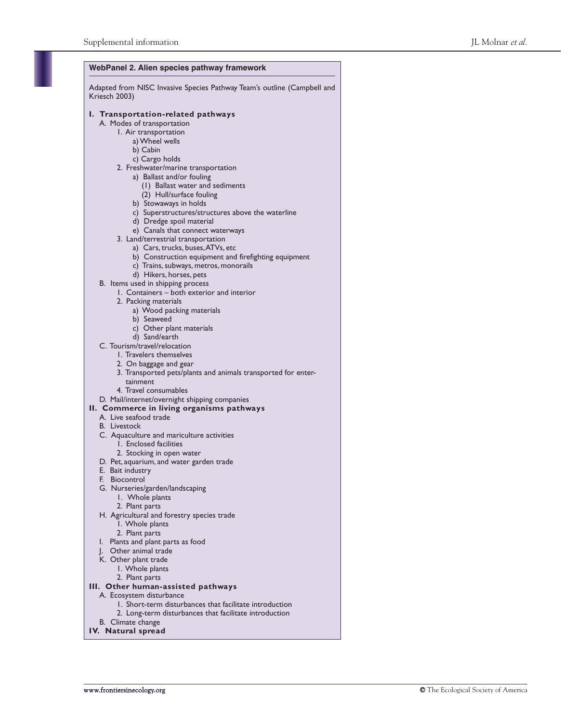| WebPanel 2. Alien species pathway framework                                              |  |  |  |  |  |  |  |  |
|------------------------------------------------------------------------------------------|--|--|--|--|--|--|--|--|
| Adapted from NISC Invasive Species Pathway Team's outline (Campbell and<br>Kriesch 2003) |  |  |  |  |  |  |  |  |
| I. Transportation-related pathways                                                       |  |  |  |  |  |  |  |  |
| A. Modes of transportation                                                               |  |  |  |  |  |  |  |  |
| I. Air transportation                                                                    |  |  |  |  |  |  |  |  |
| a) Wheel wells                                                                           |  |  |  |  |  |  |  |  |
| b) Cabin<br>c) Cargo holds                                                               |  |  |  |  |  |  |  |  |
| 2. Freshwater/marine transportation                                                      |  |  |  |  |  |  |  |  |
| a) Ballast and/or fouling                                                                |  |  |  |  |  |  |  |  |
| (1) Ballast water and sediments                                                          |  |  |  |  |  |  |  |  |
| (2) Hull/surface fouling                                                                 |  |  |  |  |  |  |  |  |
| b) Stowaways in holds                                                                    |  |  |  |  |  |  |  |  |
| c) Superstructures/structures above the waterline<br>d) Dredge spoil material            |  |  |  |  |  |  |  |  |
|                                                                                          |  |  |  |  |  |  |  |  |
| e) Canals that connect waterways<br>3. Land/terrestrial transportation                   |  |  |  |  |  |  |  |  |
| a) Cars, trucks, buses, ATVs, etc                                                        |  |  |  |  |  |  |  |  |
| b) Construction equipment and firefighting equipment                                     |  |  |  |  |  |  |  |  |
| c) Trains, subways, metros, monorails                                                    |  |  |  |  |  |  |  |  |
| d) Hikers, horses, pets                                                                  |  |  |  |  |  |  |  |  |
| B. Items used in shipping process                                                        |  |  |  |  |  |  |  |  |
| 1. Containers – both exterior and interior                                               |  |  |  |  |  |  |  |  |
| 2. Packing materials<br>a) Wood packing materials                                        |  |  |  |  |  |  |  |  |
| b) Seaweed                                                                               |  |  |  |  |  |  |  |  |
| c) Other plant materials                                                                 |  |  |  |  |  |  |  |  |
| d) Sand/earth                                                                            |  |  |  |  |  |  |  |  |
| C. Tourism/travel/relocation                                                             |  |  |  |  |  |  |  |  |
| 1. Travelers themselves                                                                  |  |  |  |  |  |  |  |  |
| 2. On baggage and gear                                                                   |  |  |  |  |  |  |  |  |
| 3. Transported pets/plants and animals transported for enter-                            |  |  |  |  |  |  |  |  |
| tainment<br>4. Travel consumables                                                        |  |  |  |  |  |  |  |  |
| D. Mail/internet/overnight shipping companies                                            |  |  |  |  |  |  |  |  |
| II. Commerce in living organisms pathways                                                |  |  |  |  |  |  |  |  |
| A. Live seafood trade                                                                    |  |  |  |  |  |  |  |  |
| <b>B.</b> Livestock                                                                      |  |  |  |  |  |  |  |  |
| C. Aquaculture and mariculture activities                                                |  |  |  |  |  |  |  |  |
| 1. Enclosed facilities                                                                   |  |  |  |  |  |  |  |  |
| 2. Stocking in open water                                                                |  |  |  |  |  |  |  |  |
| D. Pet, aquarium, and water garden trade<br>E. Bait industry                             |  |  |  |  |  |  |  |  |
| F.<br>Biocontrol                                                                         |  |  |  |  |  |  |  |  |
| G. Nurseries/garden/landscaping                                                          |  |  |  |  |  |  |  |  |
| 1. Whole plants                                                                          |  |  |  |  |  |  |  |  |
| 2. Plant parts                                                                           |  |  |  |  |  |  |  |  |
| H. Agricultural and forestry species trade                                               |  |  |  |  |  |  |  |  |
| 1. Whole plants                                                                          |  |  |  |  |  |  |  |  |
| 2. Plant parts<br>Plants and plant parts as food<br>ı.                                   |  |  |  |  |  |  |  |  |
| Other animal trade<br>J.                                                                 |  |  |  |  |  |  |  |  |
| K. Other plant trade                                                                     |  |  |  |  |  |  |  |  |
| I. Whole plants                                                                          |  |  |  |  |  |  |  |  |
| 2. Plant parts                                                                           |  |  |  |  |  |  |  |  |
| III. Other human-assisted pathways                                                       |  |  |  |  |  |  |  |  |

- A. Ecosystem disturbance
	- 1. Short-term disturbances that facilitate introduction
	- 2. Long-term disturbances that facilitate introduction
- B. Climate change
- **IV. Natural spread**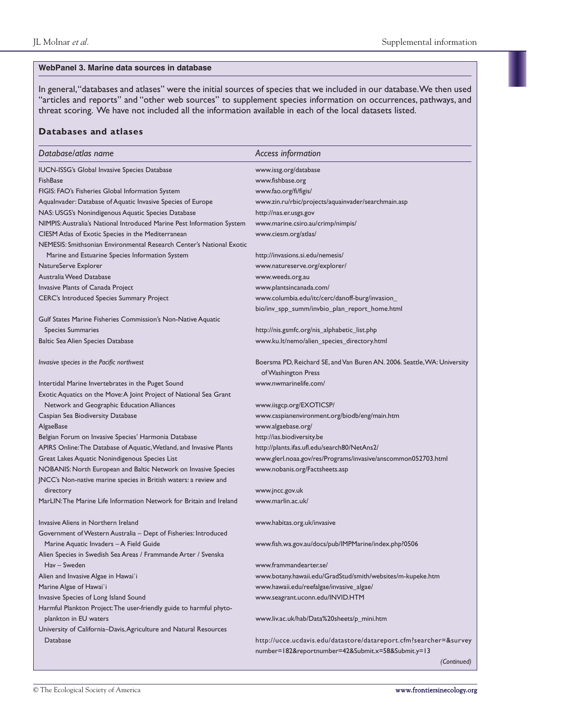#### **WebPanel 3. Marine data sources in database**

In general,"databases and atlases" were the initial sources of species that we included in our database.We then used "articles and reports" and "other web sources" to supplement species information on occurrences, pathways, and threat scoring. We have not included all the information available in each of the local datasets listed.

#### **Databases and atlases**

| Database/atlas name                                                    | Access information                                                       |
|------------------------------------------------------------------------|--------------------------------------------------------------------------|
| <b>IUCN-ISSG's Global Invasive Species Database</b>                    | www.issg.org/database                                                    |
| <b>FishBase</b>                                                        | www.fishbase.org                                                         |
| FIGIS: FAO's Fisheries Global Information System                       | www.fao.org/fi/figis/                                                    |
| Aqualnvader: Database of Aquatic Invasive Species of Europe            | www.zin.ru/rbic/projects/aquainvader/searchmain.asp                      |
| NAS: USGS's Nonindigenous Aquatic Species Database                     | http://nas.er.usgs.gov                                                   |
| NIMPIS: Australia's National Introduced Marine Pest Information System | www.marine.csiro.au/crimp/nimpis/                                        |
| CIESM Atlas of Exotic Species in the Mediterranean                     | www.ciesm.org/atlas/                                                     |
| NEMESIS: Smithsonian Environmental Research Center's National Exotic   |                                                                          |
| Marine and Estuarine Species Information System                        | http://invasions.si.edu/nemesis/                                         |
| NatureServe Explorer                                                   | www.natureserve.org/explorer/                                            |
| Australia Weed Database                                                | www.weeds.org.au                                                         |
| Invasive Plants of Canada Project                                      | www.plantsincanada.com/                                                  |
| CERC's Introduced Species Summary Project                              | www.columbia.edu/itc/cerc/danoff-burg/invasion_                          |
|                                                                        | bio/inv_spp_summ/invbio_plan_report_home.html                            |
| Gulf States Marine Fisheries Commission's Non-Native Aquatic           |                                                                          |
| <b>Species Summaries</b>                                               | http://nis.gsmfc.org/nis_alphabetic_list.php                             |
| Baltic Sea Alien Species Database                                      | www.ku.lt/nemo/alien_species_directory.html                              |
| Invasive species in the Pacific northwest                              | Boersma PD, Reichard SE, and Van Buren AN. 2006. Seattle, WA: University |
|                                                                        | of Washington Press                                                      |
| Intertidal Marine Invertebrates in the Puget Sound                     | www.nwmarinelife.com/                                                    |
| Exotic Aquatics on the Move: A Joint Project of National Sea Grant     |                                                                          |
| Network and Geographic Education Alliances                             | www.iisgcp.org/EXOTICSP/                                                 |
| Caspian Sea Biodiversity Database                                      | www.caspianenvironment.org/biodb/eng/main.htm                            |
| AlgaeBase                                                              | www.algaebase.org/                                                       |
| Belgian Forum on Invasive Species' Harmonia Database                   | http://ias.biodiversity.be                                               |
| APIRS Online: The Database of Aquatic, Wetland, and Invasive Plants    | http://plants.ifas.ufl.edu/search80/NetAns2/                             |
| Great Lakes Aquatic Nonindigenous Species List                         | www.glerl.noaa.gov/res/Programs/invasive/anscommon052703.html            |
| NOBANIS: North European and Baltic Network on Invasive Species         | www.nobanis.org/Factsheets.asp                                           |
| JNCC's Non-native marine species in British waters: a review and       |                                                                          |
| directory                                                              | www.jncc.gov.uk                                                          |
| MarLIN: The Marine Life Information Network for Britain and Ireland    | www.marlin.ac.uk/                                                        |
| Invasive Aliens in Northern Ireland                                    | www.habitas.org.uk/invasive                                              |
| Government of Western Australia - Dept of Fisheries: Introduced        |                                                                          |
| Marine Aquatic Invaders - A Field Guide                                | www.fish.wa.gov.au/docs/pub/IMPMarine/index.php?0506                     |
| Alien Species in Swedish Sea Areas / Frammande Arter / Svenska         |                                                                          |
| Hav – Sweden                                                           | www.frammandearter.se/                                                   |
| Alien and Invasive Algae in Hawai'i                                    | www.botany.hawaii.edu/GradStud/smith/websites/m-kupeke.htm               |
| Marine Algae of Hawai'i                                                | www.hawaii.edu/reefalgae/invasive_algae/                                 |
| Invasive Species of Long Island Sound                                  | www.seagrant.uconn.edu/INVID.HTM                                         |
| Harmful Plankton Project: The user-friendly guide to harmful phyto-    |                                                                          |
| plankton in EU waters                                                  | www.liv.ac.uk/hab/Data%20sheets/p_mini.htm                               |
| University of California-Davis, Agriculture and Natural Resources      |                                                                          |
| Database                                                               | http://ucce.ucdavis.edu/datastore/datareport.cfm?searcher=&survey        |
|                                                                        | number=182&reportnumber=42&Submit.x=58&Submit.y=13                       |
|                                                                        | (Continued)                                                              |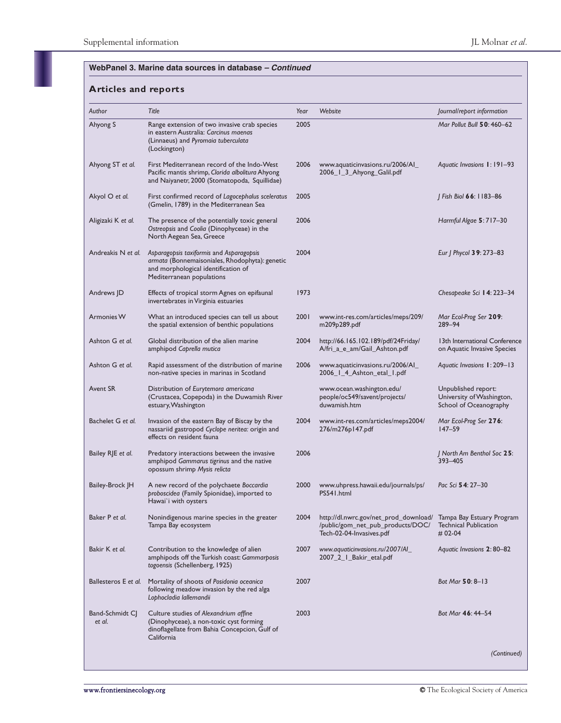| Author                    | Title                                                                                                                                                          | Year | Website                                                                                                                          | Journal/report information                                                 |
|---------------------------|----------------------------------------------------------------------------------------------------------------------------------------------------------------|------|----------------------------------------------------------------------------------------------------------------------------------|----------------------------------------------------------------------------|
| Ahyong S                  | Range extension of two invasive crab species<br>in eastern Australia: Carcinus maenas<br>(Linnaeus) and Pyromaia tuberculata<br>(Lockington)                   | 2005 |                                                                                                                                  | Mar Pollut Bull 50: 460–62                                                 |
| Ahyong ST et al.          | First Mediterranean record of the Indo-West<br>Pacific mantis shrimp, Clorida albolitura Ahyong<br>and Naiyanetr, 2000 (Stomatopoda, Squillidae)               | 2006 | www.aquaticinvasions.ru/2006/Al_<br>2006_1_3_Ahyong_Galil.pdf                                                                    | Aquatic Invasions 1:191-93                                                 |
| Akyol O et al.            | First confirmed record of Lagocephalus sceleratus<br>(Gmelin, 1789) in the Mediterranean Sea                                                                   | 2005 |                                                                                                                                  | J Fish Biol 66: 1183-86                                                    |
| Aligizaki K et al.        | The presence of the potentially toxic general<br>Ostreopsis and Coolia (Dinophyceae) in the<br>North Aegean Sea, Greece                                        | 2006 |                                                                                                                                  | Harmful Algae 5: 717-30                                                    |
| Andreakis N et al.        | Asparagopsis taxiformis and Asparagopsis<br>armata (Bonnemaisoniales, Rhodophyta): genetic<br>and morphological identification of<br>Mediterranean populations | 2004 |                                                                                                                                  | Eur   Phycol 39: 273-83                                                    |
| Andrews JD                | Effects of tropical storm Agnes on epifaunal<br>invertebrates in Virginia estuaries                                                                            | 1973 |                                                                                                                                  | Chesapeake Sci 14: 223-34                                                  |
| <b>Armonies W</b>         | What an introduced species can tell us about<br>the spatial extension of benthic populations                                                                   | 2001 | www.int-res.com/articles/meps/209/<br>m209p289.pdf                                                                               | Mar Ecol-Prog Ser 209:<br>289-94                                           |
| Ashton G et al.           | Global distribution of the alien marine<br>amphipod Caprella mutica                                                                                            | 2004 | http://66.165.102.189/pdf/24Friday/<br>A/fri_a_e_am/Gail_Ashton.pdf                                                              | 13th International Conference<br>on Aquatic Invasive Species               |
| Ashton G et al.           | Rapid assessment of the distribution of marine<br>non-native species in marinas in Scotland                                                                    | 2006 | www.aquaticinvasions.ru/2006/Al_<br>2006_1_4_Ashton_etal_1.pdf                                                                   | Aquatic Invasions 1: 209-13                                                |
| Avent SR                  | Distribution of Eurytemora americana<br>(Crustacea, Copepoda) in the Duwamish River<br>estuary, Washington                                                     |      | www.ocean.washington.edu/<br>people/oc549/savent/projects/<br>duwamish.htm                                                       | Unpublished report:<br>University of Washington,<br>School of Oceanography |
| Bachelet G et al.         | Invasion of the eastern Bay of Biscay by the<br>nassariid gastropod Cyclope neritea: origin and<br>effects on resident fauna                                   | 2004 | www.int-res.com/articles/meps2004/<br>276/m276p147.pdf                                                                           | Mar Ecol-Prog Ser 276:<br>$147 - 59$                                       |
| Bailey RJE et al.         | Predatory interactions between the invasive<br>amphipod Gammarus tigrinus and the native<br>opossum shrimp Mysis relicta                                       | 2006 |                                                                                                                                  | J North Am Benthol Soc 25:<br>393-405                                      |
| Bailey-Brock JH           | A new record of the polychaete Boccardia<br>proboscidea (Family Spionidae), imported to<br>Hawai'i with oysters                                                | 2000 | www.uhpress.hawaii.edu/journals/ps/<br>PS541.html                                                                                | Pac Sci 54: 27-30                                                          |
| Baker P et al.            | Nonindigenous marine species in the greater<br>Tampa Bay ecosystem                                                                                             | 2004 | http://dl.nwrc.gov/net_prod_download/ Tampa Bay Estuary Program<br>/public/gom_net_pub_products/DOC/<br>Tech-02-04-Invasives.pdf | <b>Technical Publication</b><br>$# 02-04$                                  |
| Bakir K et al.            | Contribution to the knowledge of alien<br>amphipods off the Turkish coast: Gammarposis<br>togoensis (Schellenberg, 1925)                                       | 2007 | www.aquaticinvasions.ru/2007/AI_<br>2007_2_1_Bakir_etal.pdf                                                                      | Aquatic Invasions 2:80-82                                                  |
| Ballesteros E et al.      | Mortality of shoots of Posidonia oceanica<br>following meadow invasion by the red alga<br>Lophocladia lallemandii                                              | 2007 |                                                                                                                                  | Bot Mar 50: 8-13                                                           |
| Band-Schmidt CJ<br>et al. | Culture studies of Alexandrium affine<br>(Dinophyceae), a non-toxic cyst forming<br>dinoflagellate from Bahia Concepcion, Gulf of<br>California                | 2003 |                                                                                                                                  | Bot Mar 46: 44-54                                                          |
|                           |                                                                                                                                                                |      |                                                                                                                                  | (Continued)                                                                |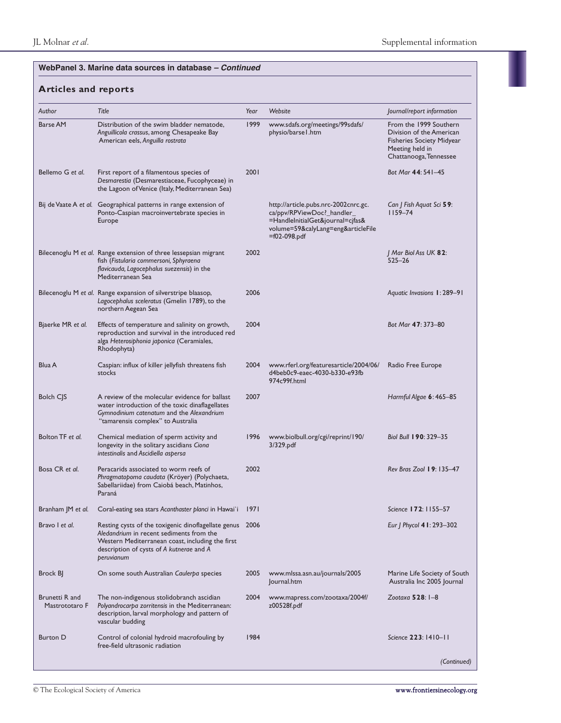| Author                           | Title                                                                                                                                                                                                              | Year | Website                                                                                                                                                         | Journal/report information                                                                                                          |
|----------------------------------|--------------------------------------------------------------------------------------------------------------------------------------------------------------------------------------------------------------------|------|-----------------------------------------------------------------------------------------------------------------------------------------------------------------|-------------------------------------------------------------------------------------------------------------------------------------|
| <b>Barse AM</b>                  | Distribution of the swim bladder nematode,<br>Anguillicola crassus, among Chesapeake Bay<br>American eels, Anguilla rostrata                                                                                       | 1999 | www.sdafs.org/meetings/99sdafs/<br>physio/barse I.htm                                                                                                           | From the 1999 Southern<br>Division of the American<br><b>Fisheries Society Midyear</b><br>Meeting held in<br>Chattanooga, Tennessee |
| Bellemo G et al.                 | First report of a filamentous species of<br>Desmarestia (Desmarestiaceae, Fucophyceae) in<br>the Lagoon of Venice (Italy, Mediterranean Sea)                                                                       | 2001 |                                                                                                                                                                 | Bot Mar 44: 541-45                                                                                                                  |
|                                  | Bij de Vaate A et al. Geographical patterns in range extension of<br>Ponto-Caspian macroinvertebrate species in<br>Europe                                                                                          |      | http://article.pubs.nrc-2002cnrc.gc.<br>ca/ppv/RPViewDoc?_handler_<br>=HandleInitialGet&journal=cjfas&<br>volume=59&calyLang=eng&articleFile<br>$=$ f02-098.pdf | Can   Fish Aquat Sci 59:<br>$1159 - 74$                                                                                             |
|                                  | Bilecenoglu M et al. Range extension of three lessepsian migrant<br>fish (Fistularia commersoni, Sphyraena<br>flavicauda, Lagocephalus suezensis) in the<br>Mediterranean Sea                                      | 2002 |                                                                                                                                                                 | J Mar Biol Ass UK 82:<br>$525 - 26$                                                                                                 |
|                                  | Bilecenoglu M et al. Range expansion of silverstripe blaasop,<br>Lagocephalus sceleratus (Gmelin 1789), to the<br>northern Aegean Sea                                                                              | 2006 |                                                                                                                                                                 | Aquatic Invasions 1: 289-91                                                                                                         |
| Bjaerke MR et al.                | Effects of temperature and salinity on growth,<br>reproduction and survival in the introduced red<br>alga Heterosiphonia japonica (Ceramiales,<br>Rhodophyta)                                                      | 2004 |                                                                                                                                                                 | Bot Mar 47: 373-80                                                                                                                  |
| Blua A                           | Caspian: influx of killer jellyfish threatens fish<br>stocks                                                                                                                                                       | 2004 | www.rferl.org/featuresarticle/2004/06/<br>d4beb0c9-eaec-4030-b330-e93fb<br>974c99f.html                                                                         | Radio Free Europe                                                                                                                   |
| <b>Bolch CJS</b>                 | A review of the molecular evidence for ballast<br>water introduction of the toxic dinaflagellates<br>Gymnodinium catenatum and the Alexandrium<br>"tamarensis complex" to Australia                                | 2007 |                                                                                                                                                                 | Harmful Algae 6: 465–85                                                                                                             |
| Bolton TF et al.                 | Chemical mediation of sperm activity and<br>longevity in the solitary ascidians Ciona<br>intestinalis and Ascidiella aspersa                                                                                       | 1996 | www.biolbull.org/cgi/reprint/190/<br>3/329.pdf                                                                                                                  | Biol Bull 190: 329-35                                                                                                               |
| Bosa CR et al.                   | Peracarids associated to worm reefs of<br>Phragmatopoma caudata (Kröyer) (Polychaeta,<br>Sabellariidae) from Caiobá beach, Matinhos,<br>Paraná                                                                     | 2002 |                                                                                                                                                                 | Rev Bras Zool 19: 135-47                                                                                                            |
| Branham JM et al.                | Coral-eating sea stars Acanthaster planci in Hawai'i                                                                                                                                                               | 97   |                                                                                                                                                                 | Science 172: 1155-57                                                                                                                |
| Bravo I et al.                   | Resting cysts of the toxigenic dinoflagellate genus 2006<br>Aledandrium in recent sediments from the<br>Western Mediterranean coast, including the first<br>description of cysts of A kutnerae and A<br>peruvianum |      |                                                                                                                                                                 | Eur   Phycol 4 1: 293-302                                                                                                           |
| Brock BJ                         | On some south Australian Caulerpa species                                                                                                                                                                          | 2005 | www.mlssa.asn.au/journals/2005<br>Journal.htm                                                                                                                   | Marine Life Society of South<br>Australia Inc 2005 Journal                                                                          |
| Brunetti R and<br>Mastrototaro F | The non-indigenous stolidobranch ascidian<br>Polyandrocarpa zorritensis in the Mediterranean:<br>description, larval morphology and pattern of<br>vascular budding                                                 | 2004 | www.mapress.com/zootaxa/2004f/<br>z00528f.pdf                                                                                                                   | Zootaxa 528: 1-8                                                                                                                    |
| <b>Burton D</b>                  | Control of colonial hydroid macrofouling by<br>free-field ultrasonic radiation                                                                                                                                     | 1984 |                                                                                                                                                                 | Science 223: 1410-11                                                                                                                |
|                                  |                                                                                                                                                                                                                    |      |                                                                                                                                                                 | (Continued)                                                                                                                         |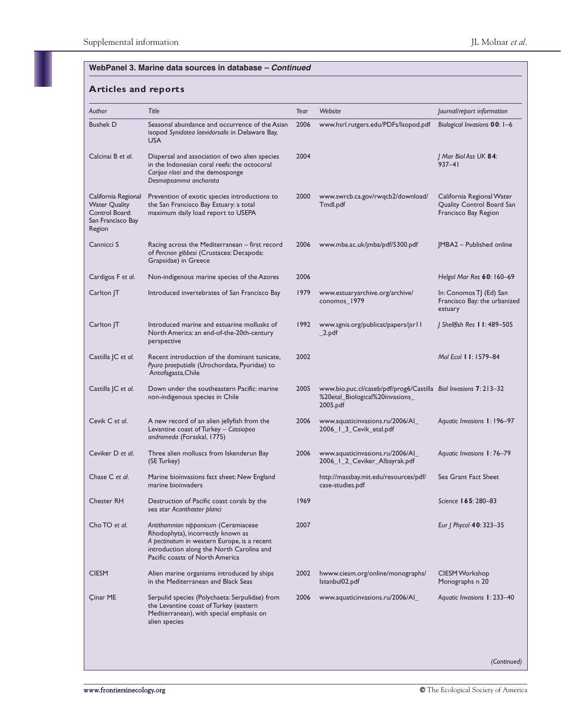| Author                                                                                       | Title                                                                                                                                                                                                    | Year | Website                                                                                                         | Journal/report information                                                     |
|----------------------------------------------------------------------------------------------|----------------------------------------------------------------------------------------------------------------------------------------------------------------------------------------------------------|------|-----------------------------------------------------------------------------------------------------------------|--------------------------------------------------------------------------------|
| <b>Bushek D</b>                                                                              | Seasonal abundance and occurrence of the Asian<br>isopod Synidotea laevidorsalis in Delaware Bay,<br><b>USA</b>                                                                                          | 2006 | www.hsrl.rutgers.edu/PDFs/Isopod.pdf                                                                            | Biological Invasions 00: 1-6                                                   |
| Calcinai B et al.                                                                            | Dispersal and association of two alien species<br>in the Indonesian coral reefs: the octocoral<br>Carijoa riisei and the demosponge<br>Desmapsamma anchorata                                             | 2004 |                                                                                                                 | Mar Biol Ass UK <b>84</b> :<br>$937 - 41$                                      |
| California Regional<br><b>Water Quality</b><br>Control Board:<br>San Francisco Bay<br>Region | Prevention of exotic species introductions to<br>the San Francisco Bay Estuary: a total<br>maximum daily load report to USEPA                                                                            | 2000 | www.swrcb.ca.gov/rwqcb2/download/<br>Tmdl.pdf                                                                   | California Regional Water<br>Quality Control Board San<br>Francisco Bay Region |
| Cannicci S                                                                                   | Racing across the Mediterranean – first record<br>of Percnon gibbesi (Crustacea: Decapoda:<br>Grapsidae) in Greece                                                                                       | 2006 | www.mba.ac.uk/jmba/pdf/5300.pdf                                                                                 | JMBA2 - Published online                                                       |
| Cardigos F et al.                                                                            | Non-indigenous marine species of the Azores                                                                                                                                                              | 2006 |                                                                                                                 | Helgol Mar Res 60: 160-69                                                      |
| Carlton JT                                                                                   | Introduced invertebrates of San Francisco Bay                                                                                                                                                            | 1979 | www.estuaryarchive.org/archive/<br>conomos_1979                                                                 | In: Conomos TJ (Ed) San<br>Francisco Bay: the urbanized<br>estuary             |
| $CarIton$ JT                                                                                 | Introduced marine and estuarine mollusks of<br>North America: an end-of-the-20th-century<br>perspective                                                                                                  | 1992 | www.sgnis.org/publicat/papers/jsrll<br>$\_$ 2.pdf                                                               | J Shellfish Res 11:489-505                                                     |
| Castilla JC et al.                                                                           | Recent introduction of the dominant tunicate,<br>Pyura praeputialis (Urochordata, Pyuridae) to<br>Antofagasta, Chile                                                                                     | 2002 |                                                                                                                 | Mol Ecol 11:1579-84                                                            |
| Castilla JC et al.                                                                           | Down under the southeastern Pacific: marine<br>non-indigenous species in Chile                                                                                                                           | 2005 | www.bio.puc.cl/caseb/pdf/prog6/Castilla Biol Invasions 7: 213–32<br>%20etal_Biological%20invasions_<br>2005.pdf |                                                                                |
| Cevik C et al.                                                                               | A new record of an alien jellyfish from the<br>Levantine coast of Turkey - Cassiopea<br>andromeda (Forsskal, 1775)                                                                                       | 2006 | www.aquaticinvasions.ru/2006/Al_<br>2006_1_3_Cevik_etal.pdf                                                     | Aquatic Invasions 1: 196-97                                                    |
| Ceviker D et al.                                                                             | Three alien molluscs from Iskenderun Bay<br>(SE Turkey)                                                                                                                                                  | 2006 | www.aquaticinvasions.ru/2006/Al_<br>2006_1_2_Ceviker_Albayrak.pdf                                               | Aquatic Invasions 1:76-79                                                      |
| Chase C et al.                                                                               | Marine bioinvasions fact sheet: New England<br>marine bioinvaders                                                                                                                                        |      | http://massbay.mit.edu/resources/pdf/<br>case-studies.pdf                                                       | Sea Grant Fact Sheet                                                           |
| <b>Chester RH</b>                                                                            | Destruction of Pacific coast corals by the<br>sea star Acanthaster planci                                                                                                                                | 1969 |                                                                                                                 | Science 165: 280-83                                                            |
| Cho TO et al.                                                                                | Antithamnion nipponicum (Ceramiaceae<br>Rhodophyta), incorrectly known as<br>A pectinatum in western Europe, is a recent<br>introduction along the North Carolina and<br>Pacific coasts of North America | 2007 |                                                                                                                 | Eur   Phycol 40: 323–35                                                        |
| <b>CIESM</b>                                                                                 | Alien marine organisms introduced by ships<br>in the Mediterranean and Black Seas                                                                                                                        | 2002 | hwww.ciesm.org/online/monographs/<br>lstanbul02.pdf                                                             | CIESM Workshop<br>Monographs n 20                                              |
| Çinar ME                                                                                     | Serpulid species (Polychaeta: Serpulidae) from<br>the Levantine coast of Turkey (eastern<br>Mediterranean), with special emphasis on<br>alien species                                                    | 2006 | www.aquaticinvasions.ru/2006/Al_                                                                                | Aquatic Invasions 1: 233-40                                                    |
|                                                                                              |                                                                                                                                                                                                          |      |                                                                                                                 |                                                                                |
|                                                                                              |                                                                                                                                                                                                          |      |                                                                                                                 | (Continued)                                                                    |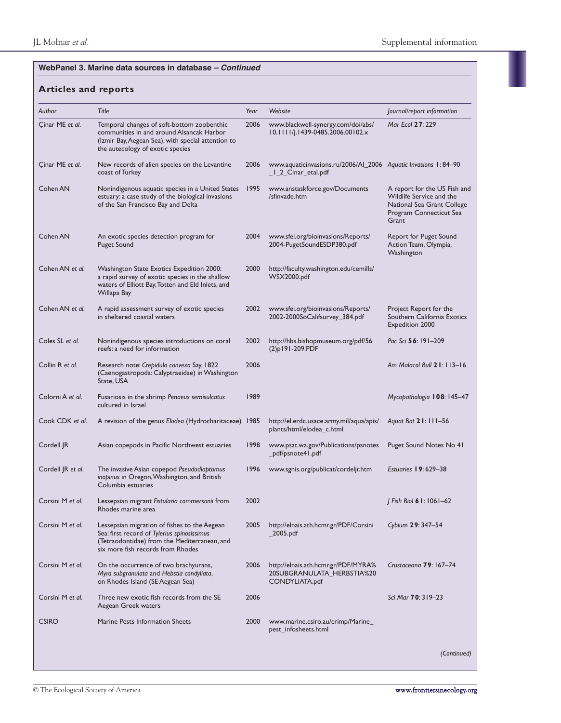|                   | Title                                                                                                                                                                             | Year | Website                                                                               | Journal/report information                                                                                                 |
|-------------------|-----------------------------------------------------------------------------------------------------------------------------------------------------------------------------------|------|---------------------------------------------------------------------------------------|----------------------------------------------------------------------------------------------------------------------------|
| Cinar ME et al.   | Temporal changes of soft-bottom zoobenthic<br>communities in and around Alsancak Harbor<br>(Izmir Bay, Aegean Sea), with special attention to<br>the autecology of exotic species | 2006 | www.blackwell-synergy.com/doi/abs/<br>10.1111/j.1439-0485.2006.00102.x                | Mar Ecol 27:229                                                                                                            |
| Cinar ME et al.   | New records of alien species on the Levantine<br>coast of Turkey                                                                                                                  | 2006 | www.aquaticinvasions.ru/2006/Al_2006 Aquatic Invasions 1:84-90<br>_1_2_Cinar_etal.pdf |                                                                                                                            |
| Cohen AN          | Nonindigenous aquatic species in a United States<br>estuary: a case study of the biological invasions<br>of the San Francisco Bay and Delta                                       | 1995 | www.anstaskforce.gov/Documents<br>/sfinvade.htm                                       | A report for the US Fish and<br>Wildlife Service and the<br>National Sea Grant College<br>Program Connecticut Sea<br>Grant |
| Cohen AN          | An exotic species detection program for<br><b>Puget Sound</b>                                                                                                                     | 2004 | www.sfei.org/bioinvasions/Reports/<br>2004-PugetSoundESDP380.pdf                      | Report for Puget Sound<br>Action Team, Olympia,<br>Washington                                                              |
| Cohen AN et al.   | Washington State Exotics Expedition 2000:<br>a rapid survey of exotic species in the shallow<br>waters of Elliott Bay, Totten and Eld Inlets, and<br>Willapa Bay                  | 2000 | http://faculty.washington.edu/cemills/<br>WSX2000.pdf                                 |                                                                                                                            |
| Cohen AN et al.   | A rapid assessment survey of exotic species<br>in sheltered coastal waters                                                                                                        | 2002 | www.sfei.org/bioinvasions/Reports/<br>2002-2000SoCalifsurvey_384.pdf                  | Project Report for the<br>Southern California Exotics<br><b>Expedition 2000</b>                                            |
| Coles SL et al.   | Nonindigenous species introductions on coral<br>reefs: a need for information                                                                                                     | 2002 | http://hbs.bishopmuseum.org/pdf/56<br>$(2)$ <sub>p</sub> $191-209$ .PDF               | Pac Sci 56: 191-209                                                                                                        |
| Collin R et al.   | Research note: Crepidula convexa Say, 1822<br>(Caenogastropoda: Calyptraeidae) in Washington<br>State, USA                                                                        | 2006 |                                                                                       | Am Malacol Bull 21: 113-16                                                                                                 |
| Colorni A et al.  | Fusariosis in the shrimp Penaeus semisulcatus<br>cultured in Israel                                                                                                               | 1989 |                                                                                       | Mycopathologia 108: 145-47                                                                                                 |
| Cook CDK et al.   | A revision of the genus Elodea (Hydrocharitaceae) 1985                                                                                                                            |      | http://el.erdc.usace.army.mil/aqua/apis/<br>plants/html/elodea_c.html                 | Aguat Bot 21: 111-56                                                                                                       |
| Cordell JR        | Asian copepods in Pacific Northwest estuaries                                                                                                                                     | 1998 | www.psat.wa.gov/Publications/psnotes<br>_pdf/psnote41.pdf                             | Puget Sound Notes No 41                                                                                                    |
| Cordell JR et al. | The invasive Asian copepod Pseudodiaptomus<br>inopinus in Oregon, Washington, and British<br>Columbia estuaries                                                                   | 1996 | www.sgnis.org/publicat/cordeljr.htm                                                   | <b>Estuaries 19:629–38</b>                                                                                                 |
| Corsini M et al.  | Lessepsian migrant Fistularia commersonii from<br>Rhodes marine area                                                                                                              | 2002 |                                                                                       | Fish Biol 6 1: 1061–62                                                                                                     |
| Corsini M et al.  | Lessepsian migration of fishes to the Aegean<br>Sea: first record of Tylerius spinosissimus<br>(Tetraodontidae) from the Mediterranean, and<br>six more fish records from Rhodes  | 2005 | http://elnais.ath.hcmr.gr/PDF/Corsini<br>$\_$ 2005.pdf                                | Cybium 29: 347-54                                                                                                          |
| Corsini M et al.  | On the occurrence of two brachyurans,<br>Myra subgranulata and Hebstia condyliata,<br>on Rhodes Island (SE Aegean Sea)                                                            | 2006 | http://elnais.ath.hcmr.gr/PDF/MYRA%<br>20SUBGRANULATA_HERBSTIA%20<br>CONDYLIATA.pdf   | Crustaceana 79: 167-74                                                                                                     |
| Corsini M et al.  | Three new exotic fish records from the SE<br>Aegean Greek waters                                                                                                                  | 2006 |                                                                                       | Sci Mar <b>70</b> : 319-23                                                                                                 |
| <b>CSIRO</b>      | Marine Pests Information Sheets                                                                                                                                                   | 2000 | www.marine.csiro.au/crimp/Marine_<br>pest_infosheets.html                             |                                                                                                                            |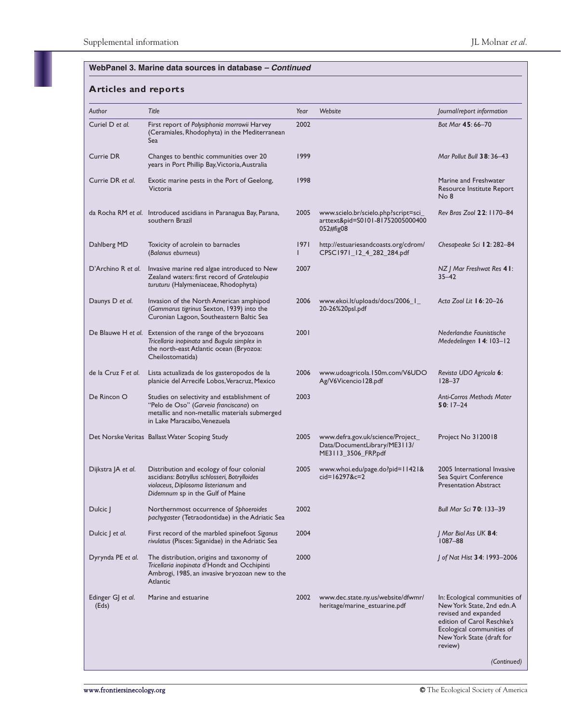| Author                     | Title                                                                                                                                                                    | Year      | Website                                                                                  | Journal/report information                                                                                                                                                            |
|----------------------------|--------------------------------------------------------------------------------------------------------------------------------------------------------------------------|-----------|------------------------------------------------------------------------------------------|---------------------------------------------------------------------------------------------------------------------------------------------------------------------------------------|
| Curiel D et al.            | First report of Polysiphonia morrowii Harvey<br>(Ceramiales, Rhodophyta) in the Mediterranean<br>Sea                                                                     | 2002      |                                                                                          | Bot Mar 45:66-70                                                                                                                                                                      |
| Currie DR                  | Changes to benthic communities over 20<br>years in Port Phillip Bay, Victoria, Australia                                                                                 | 1999      |                                                                                          | Mar Pollut Bull 38:36-43                                                                                                                                                              |
| Currie DR et al.           | Exotic marine pests in the Port of Geelong,<br>Victoria                                                                                                                  | 1998      |                                                                                          | Marine and Freshwater<br>Resource Institute Report<br>No 8                                                                                                                            |
|                            | da Rocha RM et al. Introduced ascidians in Paranagua Bay, Parana,<br>southern Brazil                                                                                     | 2005      | www.scielo.br/scielo.php?script=sci_<br>arttext&pid=S0101-81752005000400<br>052#fig08    | Rev Bras Zool 22: 1170-84                                                                                                                                                             |
| Dahlberg MD                | Toxicity of acrolein to barnacles<br>(Balanus eburneus)                                                                                                                  | 1971<br>L | http://estuariesandcoasts.org/cdrom/<br>CPSC1971_12_4_282_284.pdf                        | Chesapeake Sci 12: 282-84                                                                                                                                                             |
| D'Archino R et al.         | Invasive marine red algae introduced to New<br>Zealand waters: first record of Grateloupia<br>turuturu (Halymeniaceae, Rhodophyta)                                       | 2007      |                                                                                          | NZ   Mar Freshwat Res 41:<br>$35 - 42$                                                                                                                                                |
| Daunys D et al.            | Invasion of the North American amphipod<br>(Gammarus tigrinus Sexton, 1939) into the<br>Curonian Lagoon, Southeastern Baltic Sea                                         | 2006      | www.ekoi.lt/uploads/docs/2006_1_<br>20-26%20psl.pdf                                      | Acta Zool Lit 16: 20-26                                                                                                                                                               |
|                            | De Blauwe H et al. Extension of the range of the bryozoans<br>Tricellaria inopinata and Bugula simplex in<br>the north-east Atlantic ocean (Bryozoa:<br>Cheilostomatida) | 2001      |                                                                                          | Nederlandse Faunistische<br>Mededelingen 14: 103-12                                                                                                                                   |
| de la Cruz F et al.        | Lista actualizada de los gasteropodos de la<br>planicie del Arrecife Lobos, Veracruz, Mexico                                                                             | 2006      | www.udoagricola.150m.com/V6UDO<br>Ag/V6Vicencio128.pdf                                   | Revista UDO Agricola 6:<br>$128 - 37$                                                                                                                                                 |
| De Rincon O                | Studies on selectivity and establishment of<br>"Pelo de Oso" (Garveia franciscana) on<br>metallic and non-metallic materials submerged<br>in Lake Maracaibo, Venezuela   | 2003      |                                                                                          | <b>Anti-Corros Methods Mater</b><br>$50:17-24$                                                                                                                                        |
|                            | Det Norske Veritas Ballast Water Scoping Study                                                                                                                           | 2005      | www.defra.gov.uk/science/Project_<br>Data/DocumentLibrary/ME3113/<br>ME3113_3506_FRP.pdf | Project No 3120018                                                                                                                                                                    |
| Dijkstra JA et al.         | Distribution and ecology of four colonial<br>ascidians: Botryllus schlosseri, Botrylloides<br>violaceus, Diplosoma listerianum and<br>Didemnum sp in the Gulf of Maine   | 2005      | www.whoi.edu/page.do?pid=11421&<br>cid=16297&c=2                                         | 2005 International Invasive<br>Sea Squirt Conference<br><b>Presentation Abstract</b>                                                                                                  |
| Dulcic J                   | Northernmost occurrence of Sphoeroides<br>pachygaster (Tetraodontidae) in the Adriatic Sea                                                                               | 2002      |                                                                                          | Bull Mar Sci 70: 133-39                                                                                                                                                               |
| Dulcic J et al.            | First record of the marbled spinefoot Siganus<br>rivulatus (Pisces: Siganidae) in the Adriatic Sea                                                                       | 2004      |                                                                                          | J Mar Biol Ass UK <b>84</b> :<br>$1087 - 88$                                                                                                                                          |
| Dyrynda PE et al.          | The distribution, origins and taxonomy of<br>Tricellaria inopinata d'Hondt and Occhipinti<br>Ambrogi, 1985, an invasive bryozoan new to the<br>Atlantic                  | 2000      |                                                                                          | J of Nat Hist 34: 1993–2006                                                                                                                                                           |
| Edinger GJ et al.<br>(Eds) | Marine and estuarine                                                                                                                                                     | 2002      | www.dec.state.ny.us/website/dfwmr/<br>heritage/marine_estuarine.pdf                      | In: Ecological communities of<br>New York State, 2nd edn.A<br>revised and expanded<br>edition of Carol Reschke's<br>Ecological communities of<br>New York State (draft for<br>review) |
|                            |                                                                                                                                                                          |           |                                                                                          | (Continued)                                                                                                                                                                           |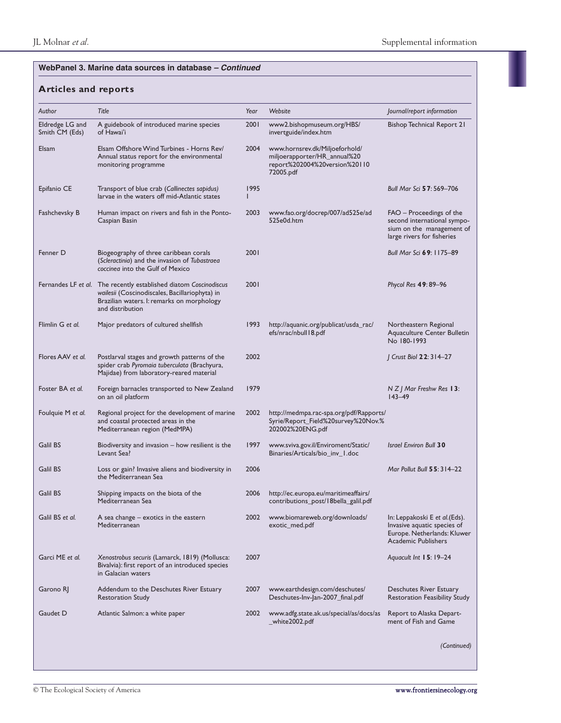| Author                            | Title                                                                                                                                                                                 | Year | Website                                                                                                      | Journal/report information                                                                                                 |
|-----------------------------------|---------------------------------------------------------------------------------------------------------------------------------------------------------------------------------------|------|--------------------------------------------------------------------------------------------------------------|----------------------------------------------------------------------------------------------------------------------------|
| Eldredge LG and<br>Smith CM (Eds) | A guidebook of introduced marine species<br>of Hawai'i                                                                                                                                | 2001 | www2.bishopmuseum.org/HBS/<br>invertguide/index.htm                                                          | <b>Bishop Technical Report 21</b>                                                                                          |
| Elsam                             | Elsam Offshore Wind Turbines - Horns Rev/<br>Annual status report for the environmental<br>monitoring programme                                                                       | 2004 | www.hornsrev.dk/Miljoeforhold/<br>miljoerapporter/HR_annual%20<br>report%202004%20version%20110<br>72005.pdf |                                                                                                                            |
| Epifanio CE                       | Transport of blue crab (Callinectes sapidus)<br>larvae in the waters off mid-Atlantic states                                                                                          | 1995 |                                                                                                              | Bull Mar Sci 57: 569-706                                                                                                   |
| Fashchevsky B                     | Human impact on rivers and fish in the Ponto-<br>Caspian Basin                                                                                                                        | 2003 | www.fao.org/docrep/007/ad525e/ad<br>525e0d.htm                                                               | FAO – Proceedings of the<br>second international sympo-<br>sium on the management of<br>large rivers for fisheries         |
| Fenner D                          | Biogeography of three caribbean corals<br>(Scleractinia) and the invasion of Tubastraea<br>coccineg into the Gulf of Mexico                                                           | 2001 |                                                                                                              | Bull Mar Sci 69: 1175-89                                                                                                   |
|                                   | Fernandes LF et al. The recently established diatom Coscinodiscus<br>wailesii (Coscinodiscales, Bacillariophyta) in<br>Brazilian waters. I: remarks on morphology<br>and distribution | 2001 |                                                                                                              | Phycol Res 49: 89-96                                                                                                       |
| Flimlin G et al.                  | Major predators of cultured shellfish                                                                                                                                                 | 1993 | http://aquanic.org/publicat/usda_rac/<br>efs/nrac/nbull18.pdf                                                | Northeastern Regional<br>Aquaculture Center Bulletin<br>No 180-1993                                                        |
| Flores AAV et al.                 | Postlarval stages and growth patterns of the<br>spider crab Pyromaia tuberculata (Brachyura,<br>Majidae) from laboratory-reared material                                              | 2002 |                                                                                                              | J Crust Biol 22: 314-27                                                                                                    |
| Foster BA et al.                  | Foreign barnacles transported to New Zealand<br>on an oil platform                                                                                                                    | 1979 |                                                                                                              | $N Z$ / Mar Freshw Res 13:<br>$143 - 49$                                                                                   |
| Foulquie M et al.                 | Regional project for the development of marine<br>and coastal protected areas in the<br>Mediterranean region (MedMPA)                                                                 | 2002 | http://medmpa.rac-spa.org/pdf/Rapports/<br>Syrie/Report_Field%20survey%20Nov.%<br>202002%20ENG.pdf           |                                                                                                                            |
| Galil BS                          | Biodiversity and invasion – how resilient is the<br>Levant Sea?                                                                                                                       | 1997 | www.sviva.gov.il/Enviroment/Static/<br>Binaries/Articals/bio_inv_1.doc                                       | <b>Israel Environ Bull 30</b>                                                                                              |
| Galil BS                          | Loss or gain? Invasive aliens and biodiversity in<br>the Mediterranean Sea                                                                                                            | 2006 |                                                                                                              | Mar Pollut Bull 55: 314–22                                                                                                 |
| Galil BS                          | Shipping impacts on the biota of the<br>Mediterranean Sea                                                                                                                             | 2006 | http://ec.europa.eu/maritimeaffairs/<br>contributions_post/18bella_galil.pdf                                 |                                                                                                                            |
| Galil BS et al.                   | A sea change $-$ exotics in the eastern<br>Mediterranean                                                                                                                              | 2002 | www.biomareweb.org/downloads/<br>exotic_med.pdf                                                              | In: Leppakoski E et al. (Eds).<br>Invasive aquatic species of<br>Europe. Netherlands: Kluwer<br><b>Academic Publishers</b> |
| Garci ME et al.                   | Xenostrobus securis (Lamarck, 1819) (Mollusca:<br>Bivalvia): first report of an introduced species<br>in Galacian waters                                                              | 2007 |                                                                                                              | Aquacult Int 15:19-24                                                                                                      |
| Garono RJ                         | Addendum to the Deschutes River Estuary<br><b>Restoration Study</b>                                                                                                                   | 2007 | www.earthdesign.com/deschutes/<br>Deschutes-Inv-Jan-2007_final.pdf                                           | Deschutes River Estuary<br>Restoration Feasibility Study                                                                   |
| Gaudet D                          | Atlantic Salmon: a white paper                                                                                                                                                        | 2002 | www.adfg.state.ak.us/special/as/docs/as<br>_white2002.pdf                                                    | Report to Alaska Depart-<br>ment of Fish and Game                                                                          |
|                                   |                                                                                                                                                                                       |      |                                                                                                              | (Continued)                                                                                                                |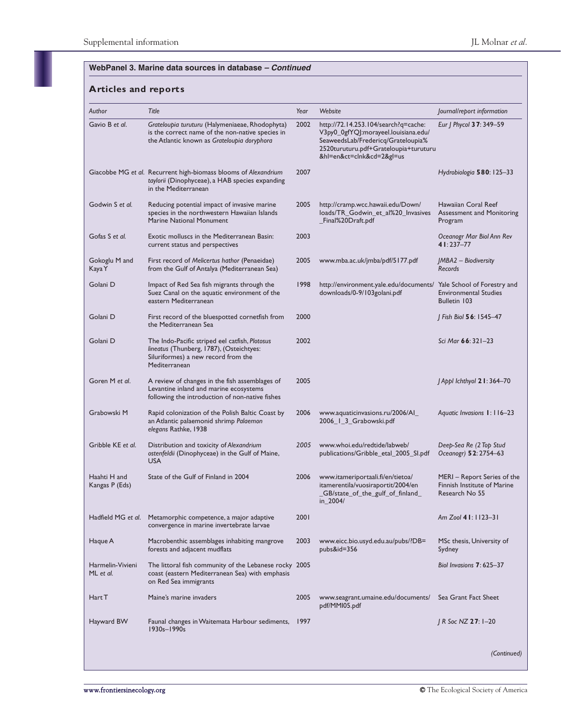| Author                         | Title                                                                                                                                              | Year | Website                                                                                                                                                                                | Journal/report information                                                         |
|--------------------------------|----------------------------------------------------------------------------------------------------------------------------------------------------|------|----------------------------------------------------------------------------------------------------------------------------------------------------------------------------------------|------------------------------------------------------------------------------------|
| Gavio B et al.                 | Grateloupia turuturu (Halymeniaeae, Rhodophyta)<br>is the correct name of the non-native species in<br>the Atlantic known as Grateloupia doryphora | 2002 | http://72.14.253.104/search?q=cache:<br>V3py0_0gfYQJ:morayeel.louisiana.edu/<br>SeaweedsLab/Fredericq/Grateloupia%<br>2520turuturu.pdf+Grateloupia+turuturu<br>&hl=en&ct=clnk&cd=2≷=us | Eur   Phycol 37: 349-59                                                            |
|                                | Giacobbe MG et al. Recurrent high-biomass blooms of Alexandrium<br>taylorii (Dinophyceae), a HAB species expanding<br>in the Mediterranean         | 2007 |                                                                                                                                                                                        | Hydrobiologia 580: 125-33                                                          |
| Godwin S et al.                | Reducing potential impact of invasive marine<br>species in the northwestern Hawaiian Islands<br>Marine National Monument                           | 2005 | http://cramp.wcc.hawaii.edu/Down/<br>loads/TR_Godwin_et_al%20_Invasives<br>Final%20Draft.pdf                                                                                           | Hawaiian Coral Reef<br><b>Assessment and Monitoring</b><br>Program                 |
| Gofas S et al.                 | Exotic molluscs in the Mediterranean Basin:<br>current status and perspectives                                                                     | 2003 |                                                                                                                                                                                        | Oceanogr Mar Biol Ann Rev<br>41:237-77                                             |
| Gokoglu M and<br>Kaya Y        | First record of Melicertus hathor (Penaeidae)<br>from the Gulf of Antalya (Mediterranean Sea)                                                      | 2005 | www.mba.ac.uk/jmba/pdf/5177.pdf                                                                                                                                                        | JMBA2 - Biodiversity<br>Records                                                    |
| Golani D                       | Impact of Red Sea fish migrants through the<br>Suez Canal on the aquatic environment of the<br>eastern Mediterranean                               | 1998 | http://environment.yale.edu/documents/<br>downloads/0-9/103golani.pdf                                                                                                                  | Yale School of Forestry and<br><b>Environmental Studies</b><br><b>Bulletin 103</b> |
| Golani D                       | First record of the bluespotted cornetfish from<br>the Mediterranean Sea                                                                           | 2000 |                                                                                                                                                                                        | J Fish Biol 56: 1545-47                                                            |
| Golani D                       | The Indo-Pacific striped eel catfish, Plotosus<br>lineatus (Thunberg, 1787), (Osteichtyes:<br>Siluriformes) a new record from the<br>Mediterranean | 2002 |                                                                                                                                                                                        | Sci Mar 66: 321-23                                                                 |
| Goren M et al.                 | A review of changes in the fish assemblages of<br>Levantine inland and marine ecosystems<br>following the introduction of non-native fishes        | 2005 |                                                                                                                                                                                        | J Appl Ichthyol 2 I: 364-70                                                        |
| Grabowski M                    | Rapid colonization of the Polish Baltic Coast by<br>an Atlantic palaemonid shrimp Palaemon<br>elegans Rathke, 1938                                 | 2006 | www.aquaticinvasions.ru/2006/Al_<br>2006_1_3_Grabowski.pdf                                                                                                                             | Aquatic Invasions 1: 116-23                                                        |
| Gribble KE et al.              | Distribution and toxicity of Alexandrium<br>ostenfeldii (Dinophyceae) in the Gulf of Maine,<br><b>USA</b>                                          | 2005 | www.whoi.edu/redtide/labweb/<br>publications/Gribble_etal_2005_SI.pdf                                                                                                                  | Deep-Sea Re (2 Top Stud<br>Oceanogr) 52: 2754-63                                   |
| Haahti H and<br>Kangas P (Eds) | State of the Gulf of Finland in 2004                                                                                                               | 2006 | www.itameriportaali.fi/en/tietoa/<br>itamerentila/vuosiraportit/2004/en<br>_GB/state_of_the_gulf_of_finland_<br>in_2004/                                                               | MERI – Report Series of the<br>Finnish Institute of Marine<br>Research No 55       |
| Hadfield MG et al.             | Metamorphic competence, a major adaptive<br>convergence in marine invertebrate larvae                                                              | 2001 |                                                                                                                                                                                        | Am Zool 41: 1123-31                                                                |
| Haque A                        | Macrobenthic assemblages inhabiting mangrove<br>forests and adjacent mudflats                                                                      | 2003 | www.eicc.bio.usyd.edu.au/pubs/?DB=<br>pubs&id=356                                                                                                                                      | MSc thesis, University of<br>Sydney                                                |
| Harmelin-Vivieni<br>ML et al.  | The littoral fish community of the Lebanese rocky 2005<br>coast (eastern Mediterranean Sea) with emphasis<br>on Red Sea immigrants                 |      |                                                                                                                                                                                        | Biol Invasions $7:625-37$                                                          |
| Hart T                         | Maine's marine invaders                                                                                                                            | 2005 | www.seagrant.umaine.edu/documents/<br>pdf/MMI05.pdf                                                                                                                                    | Sea Grant Fact Sheet                                                               |
| Hayward BW                     | Faunal changes in Waitemata Harbour sediments, 1997<br>1930s-1990s                                                                                 |      |                                                                                                                                                                                        | J R Soc NZ 27: 1-20                                                                |
|                                |                                                                                                                                                    |      |                                                                                                                                                                                        | (Continued)                                                                        |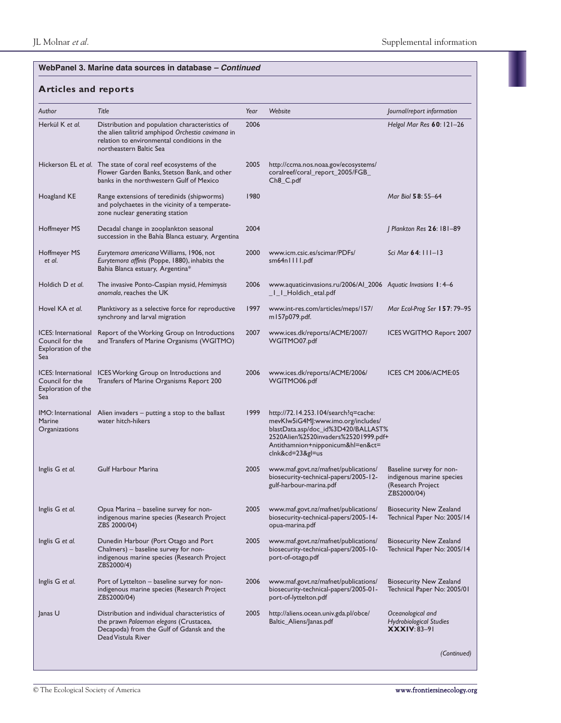| Author                                                                     | Title                                                                                                                                                                         | Year | Website                                                                                                                                                                                                          | <i>lournal/report information</i>                                                         |
|----------------------------------------------------------------------------|-------------------------------------------------------------------------------------------------------------------------------------------------------------------------------|------|------------------------------------------------------------------------------------------------------------------------------------------------------------------------------------------------------------------|-------------------------------------------------------------------------------------------|
| Herkül K et al.                                                            | Distribution and population characteristics of<br>the alien talitrid amphipod Orchestia cavimana in<br>relation to environmental conditions in the<br>northeastern Baltic Sea | 2006 |                                                                                                                                                                                                                  | Helgol Mar Res 60: 121-26                                                                 |
|                                                                            | Hickerson EL et al. The state of coral reef ecosystems of the<br>Flower Garden Banks, Stetson Bank, and other<br>banks in the northwestern Gulf of Mexico                     | 2005 | http://ccma.nos.noaa.gov/ecosystems/<br>coralreef/coral_report_2005/FGB_<br>Ch8_C.pdf                                                                                                                            |                                                                                           |
| Hoagland KE                                                                | Range extensions of teredinids (shipworms)<br>and polychaetes in the vicinity of a temperate-<br>zone nuclear generating station                                              | 1980 |                                                                                                                                                                                                                  | Mar Biol 58:55-64                                                                         |
| Hoffmeyer MS                                                               | Decadal change in zooplankton seasonal<br>succession in the Bahía Blanca estuary, Argentina                                                                                   | 2004 |                                                                                                                                                                                                                  | J Plankton Res 26: 181-89                                                                 |
| Hoffmeyer MS<br>et al.                                                     | Eurytemora americana Williams, 1906, not<br>Eurytemora affinis (Poppe, 1880), inhabits the<br>Bahia Blanca estuary, Argentina*                                                | 2000 | www.icm.csic.es/scimar/PDFs/<br>sm64n1111.pdf                                                                                                                                                                    | Sci Mar 64: 111-13                                                                        |
| Holdich D et al.                                                           | The invasive Ponto-Caspian mysid, Hemimysis<br>anomala, reaches the UK                                                                                                        | 2006 | www.aquaticinvasions.ru/2006/Al_2006 Aquatic Invasions 1:4-6<br>_I_I_Holdich_etal.pdf                                                                                                                            |                                                                                           |
| Hovel KA et al.                                                            | Planktivory as a selective force for reproductive<br>synchrony and larval migration                                                                                           | 1997 | www.int-res.com/articles/meps/157/<br>m157p079.pdf.                                                                                                                                                              | Mar Ecol-Prog Ser 157:79-95                                                               |
| <b>ICES:</b> International<br>Council for the<br>Exploration of the<br>Sea | Report of the Working Group on Introductions<br>and Transfers of Marine Organisms (WGITMO)                                                                                    | 2007 | www.ices.dk/reports/ACME/2007/<br>WGITMO07.pdf                                                                                                                                                                   | <b>ICES WGITMO Report 2007</b>                                                            |
| Council for the<br>Exploration of the<br>Sea                               | ICES: International ICES Working Group on Introductions and<br>Transfers of Marine Organisms Report 200                                                                       | 2006 | www.ices.dk/reports/ACME/2006/<br>WGITMO06.pdf                                                                                                                                                                   | <b>ICES CM 2006/ACME:05</b>                                                               |
| <b>Marine</b><br>Organizations                                             | IMO: International Alien invaders - putting a stop to the ballast<br>water hitch-hikers                                                                                       | 1999 | http://72.14.253.104/search?q=cache:<br>mevKIw5iG4MJ:www.imo.org/includes/<br>blastData.asp/doc_id%3D420/BALLAST%<br>2520Alien%2520invaders%25201999.pdf+<br>Antithamnion+nipponicum&hl=en&ct=<br>clnk&cd=23≷=us |                                                                                           |
| Inglis G et al.                                                            | <b>Gulf Harbour Marina</b>                                                                                                                                                    | 2005 | www.maf.govt.nz/mafnet/publications/<br>biosecurity-technical-papers/2005-12-<br>gulf-harbour-marina.pdf                                                                                                         | Baseline survey for non-<br>indigenous marine species<br>(Research Project<br>ZBS2000/04) |
| Inglis G et al.                                                            | Opua Marina - baseline survey for non-<br>indigenous marine species (Research Project<br>ZBS 2000/04)                                                                         | 2005 | www.maf.govt.nz/mafnet/publications/<br>biosecurity-technical-papers/2005-14-<br>opua-marina.pdf                                                                                                                 | Biosecurity New Zealand<br>Technical Paper No: 2005/14                                    |
| Inglis G et al.                                                            | Dunedin Harbour (Port Otago and Port<br>Chalmers) - baseline survey for non-<br>indigenous marine species (Research Project<br>ZBS2000/4)                                     | 2005 | www.maf.govt.nz/mafnet/publications/<br>biosecurity-technical-papers/2005-10-<br>port-of-otago.pdf                                                                                                               | Biosecurity New Zealand<br>Technical Paper No: 2005/14                                    |
| Inglis G et al.                                                            | Port of Lyttelton – baseline survey for non-<br>indigenous marine species (Research Project<br>ZBS2000/04)                                                                    | 2006 | www.maf.govt.nz/mafnet/publications/<br>biosecurity-technical-papers/2005-01-<br>port-of-lyttelton.pdf                                                                                                           | <b>Biosecurity New Zealand</b><br>Technical Paper No: 2005/01                             |
| Janas U                                                                    | Distribution and individual characteristics of<br>the prawn Palaemon elegans (Crustacea,<br>Decapoda) from the Gulf of Gdansk and the<br>Dead Vistula River                   | 2005 | http://aliens.ocean.univ.gda.pl/obce/<br>Baltic_Aliens/Janas.pdf                                                                                                                                                 | Oceanological and<br><b>Hydrobiological Studies</b><br>$\mathbf{XXXIV}: 83 - 91$          |
|                                                                            |                                                                                                                                                                               |      |                                                                                                                                                                                                                  | (Continued)                                                                               |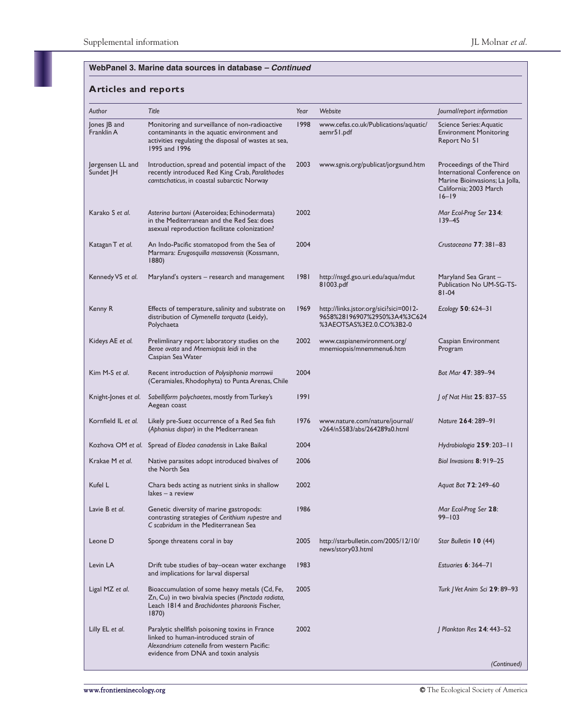| Author                        | Title                                                                                                                                                                         | Year | Website                                                                                            | Journal/report information                                                                                                       |
|-------------------------------|-------------------------------------------------------------------------------------------------------------------------------------------------------------------------------|------|----------------------------------------------------------------------------------------------------|----------------------------------------------------------------------------------------------------------------------------------|
| Jones JB and<br>Franklin A    | Monitoring and surveillance of non-radioactive<br>contaminants in the aquatic environment and<br>activities regulating the disposal of wastes at sea,<br>1995 and 1996        | 1998 | www.cefas.co.uk/Publications/aquatic/<br>aemr51.pdf                                                | Science Series: Aquatic<br><b>Environment Monitoring</b><br>Report No 51                                                         |
| Jørgensen LL and<br>Sundet JH | Introduction, spread and potential impact of the<br>recently introduced Red King Crab, Paralithodes<br>camtschaticus, in coastal subarctic Norway                             | 2003 | www.sgnis.org/publicat/jorgsund.htm                                                                | Proceedings of the Third<br>International Conference on<br>Marine Bioinvasions; La Jolla,<br>California; 2003 March<br>$16 - 19$ |
| Karako S et al.               | Asterina burtoni (Asteroidea; Echinodermata)<br>in the Mediterranean and the Red Sea: does<br>asexual reproduction facilitate colonization?                                   | 2002 |                                                                                                    | Mar Ecol-Prog Ser 234:<br>$139 - 45$                                                                                             |
| Katagan T et al.              | An Indo-Pacific stomatopod from the Sea of<br>Marmara: Erugosquilla massavensis (Kossmann,<br>1880)                                                                           | 2004 |                                                                                                    | Crustaceana 77: 381-83                                                                                                           |
| Kennedy VS et al.             | Maryland's oysters – research and management                                                                                                                                  | 1981 | http://nsgd.gso.uri.edu/aqua/mdut<br>81003.pdf                                                     | Maryland Sea Grant –<br>Publication No UM-SG-TS-<br>$81 - 04$                                                                    |
| Kenny R                       | Effects of temperature, salinity and substrate on<br>distribution of Clymenella torquata (Leidy),<br>Polychaeta                                                               | 1969 | http://links.jstor.org/sici?sici=0012-<br>9658%28196907%2950%3A4%3C624<br>%3AEOTSAS%3E2.0.CO%3B2-0 | Ecology $50:624-31$                                                                                                              |
| Kideys AE et al.              | Prelimlinary report: laboratory studies on the<br>Beroe ovata and Mnemiopsis leidi in the<br>Caspian Sea Water                                                                | 2002 | www.caspianenvironment.org/<br>mnemiopsis/mnemmenu6.htm                                            | Caspian Environment<br>Program                                                                                                   |
| Kim M-S et al.                | Recent introduction of Polysiphonia morrowii<br>(Ceramiales, Rhodophyta) to Punta Arenas, Chile                                                                               | 2004 |                                                                                                    | Bot Mar 47: 389-94                                                                                                               |
| Knight-Jones et al.           | Sabelliform polychaetes, mostly from Turkey's<br>Aegean coast                                                                                                                 | 1991 |                                                                                                    | J of Nat Hist 25: 837–55                                                                                                         |
| Kornfield IL et al.           | Likely pre-Suez occurrence of a Red Sea fish<br>(Aphanius dispar) in the Mediterranean                                                                                        | 1976 | www.nature.com/nature/journal/<br>v264/n5583/abs/264289a0.html                                     | Nature 264: 289-91                                                                                                               |
|                               | Kozhova OM et al. Spread of Elodea canadensis in Lake Baikal                                                                                                                  | 2004 |                                                                                                    | Hydrobiologia 259: 203-11                                                                                                        |
| Krakae M et al.               | Native parasites adopt introduced bivalves of<br>the North Sea                                                                                                                | 2006 |                                                                                                    | Biol Invasions 8: 919-25                                                                                                         |
| Kufel L                       | Chara beds acting as nutrient sinks in shallow<br>lakes — a review                                                                                                            | 2002 |                                                                                                    | Aguat Bot <b>72</b> : 249-60                                                                                                     |
| Lavie B et al.                | Genetic diversity of marine gastropods:<br>contrasting strategies of Cerithium rupestre and<br>C scabridum in the Mediterranean Sea                                           | 1986 |                                                                                                    | Mar Ecol-Prog Ser 28:<br>$99 - 103$                                                                                              |
| Leone D                       | Sponge threatens coral in bay                                                                                                                                                 | 2005 | http://starbulletin.com/2005/12/10/<br>news/story03.html                                           | Star Bulletin 10 (44)                                                                                                            |
| Levin LA                      | Drift tube studies of bay-ocean water exchange<br>and implications for larval dispersal                                                                                       | 1983 |                                                                                                    | Estuaries 6: 364-71                                                                                                              |
| Ligal MZ et al.               | Bioaccumulation of some heavy metals (Cd, Fe,<br>Zn, Cu) in two bivalvia species (Pinctada radiata,<br>Leach 1814 and Brachidontes pharaonis Fischer,<br>1870)                | 2005 |                                                                                                    | Turk   Vet Anim Sci <b>29</b> : 89–93                                                                                            |
| Lilly EL et al.               | Paralytic shellfish poisoning toxins in France<br>linked to human-introduced strain of<br>Alexandrium catenella from western Pacific:<br>evidence from DNA and toxin analysis | 2002 |                                                                                                    | Plankton Res 24: 443-52                                                                                                          |
|                               |                                                                                                                                                                               |      |                                                                                                    | (Continued)                                                                                                                      |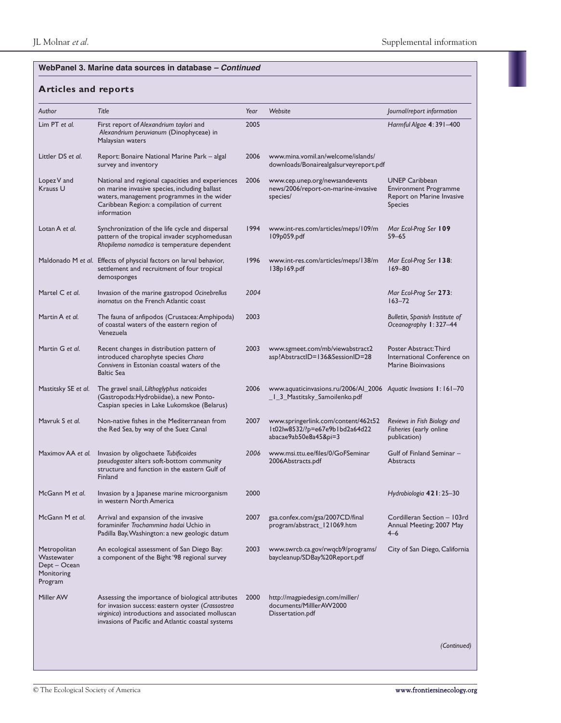| Author                                                              | Title                                                                                                                                                                                                            | Year | Website                                                                                          | Journal/report information                                                                           |
|---------------------------------------------------------------------|------------------------------------------------------------------------------------------------------------------------------------------------------------------------------------------------------------------|------|--------------------------------------------------------------------------------------------------|------------------------------------------------------------------------------------------------------|
| Lim PT et al.                                                       | First report of Alexandrium taylori and<br>Alexandrium peruvianum (Dinophyceae) in<br>Malaysian waters                                                                                                           | 2005 |                                                                                                  | Harmful Algae 4: 391-400                                                                             |
| Littler DS et al.                                                   | Report: Bonaire National Marine Park - algal<br>survey and inventory                                                                                                                                             | 2006 | www.mina.vomil.an/welcome/islands/<br>downloads/Bonairealgalsurveyreport.pdf                     |                                                                                                      |
| Lopez V and<br>Krauss U                                             | National and regional capacities and experiences<br>on marine invasive species, including ballast<br>waters, management programmes in the wider<br>Caribbean Region: a compilation of current<br>information     | 2006 | www.cep.unep.org/newsandevents<br>news/2006/report-on-marine-invasive<br>species/                | <b>UNEP Caribbean</b><br><b>Environment Programme</b><br>Report on Marine Invasive<br><b>Species</b> |
| Lotan A et al.                                                      | Synchronization of the life cycle and dispersal<br>pattern of the tropical invader scyphomedusan<br>Rhopilema nomadica is temperature dependent                                                                  | 1994 | www.int-res.com/articles/meps/109/m<br>109p059.pdf                                               | Mar Ecol-Prog Ser 109<br>$59 - 65$                                                                   |
|                                                                     | Maldonado M et al. Effects of physcial factors on larval behavior,<br>settlement and recruitment of four tropical<br>demosponges                                                                                 | 1996 | www.int-res.com/articles/meps/138/m<br>138p169.pdf                                               | Mar Ecol-Prog Ser 138:<br>$169 - 80$                                                                 |
| Martel C et al.                                                     | Invasion of the marine gastropod Ocinebrellus<br>inornatus on the French Atlantic coast                                                                                                                          | 2004 |                                                                                                  | Mar Ecol-Prog Ser 273:<br>$163 - 72$                                                                 |
| Martin A et al.                                                     | The fauna of anfipodos (Crustacea: Amphipoda)<br>of coastal waters of the eastern region of<br>Venezuela                                                                                                         | 2003 |                                                                                                  | Bulletin, Spanish Institute of<br>Oceanography 1:327-44                                              |
| Martin G et al.                                                     | Recent changes in distribution pattern of<br>introduced charophyte species Chara<br>Connivens in Estonian coastal waters of the<br><b>Baltic Sea</b>                                                             | 2003 | www.sgmeet.com/mb/viewabstract2<br>asp?AbstractID=136&SessionID=28                               | Poster Abstract: Third<br>International Conference on<br>Marine Bioinvasions                         |
| Mastitsky SE et al.                                                 | The gravel snail, Lilthoglyphus naticoides<br>(Gastropoda:Hydrobiidae), a new Ponto-<br>Caspian species in Lake Lukomskoe (Belarus)                                                                              | 2006 | www.aquaticinvasions.ru/2006/AI_2006 Aquatic Invasions 1:161-70<br>_1_3_Mastitsky_Samoilenko.pdf |                                                                                                      |
| Mavruk S et al.                                                     | Non-native fishes in the Mediterranean from<br>the Red Sea, by way of the Suez Canal                                                                                                                             | 2007 | www.springerlink.com/content/462t52<br>It02lw8532/?p=e67e9b1bd2a64d22<br>abacae9ab50e8a45π=3     | Reviews in Fish Biology and<br>Fisheries (early online<br>publication)                               |
| Maximov AA et al.                                                   | Invasion by oligochaete Tubificoides<br>pseudogaster alters soft-bottom community<br>structure and function in the eastern Gulf of<br>Finland                                                                    | 2006 | www.msi.ttu.ee/files/0/GoFSeminar<br>2006Abstracts.pdf                                           | Gulf of Finland Seminar -<br>Abstracts                                                               |
| McGann M et al.                                                     | Invasion by a Japanese marine microorganism<br>in western North America                                                                                                                                          | 2000 |                                                                                                  | Hydrobiologia 421: 25-30                                                                             |
| McGann M et al.                                                     | Arrival and expansion of the invasive<br>foraminifer Trochammina hadai Uchio in<br>Padilla Bay, Washington: a new geologic datum                                                                                 | 2007 | gsa.confex.com/gsa/2007CD/final<br>program/abstract_121069.htm                                   | Cordilleran Section - 103rd<br>Annual Meeting; 2007 May<br>$4 - 6$                                   |
| Metropolitan<br>Wastewater<br>Dept – Ocean<br>Monitoring<br>Program | An ecological assessment of San Diego Bay:<br>a component of the Bight '98 regional survey                                                                                                                       | 2003 | www.swrcb.ca.gov/rwqcb9/programs/<br>baycleanup/SDBay%20Report.pdf                               | City of San Diego, California                                                                        |
| Miller AW                                                           | Assessing the importance of biological attributes<br>for invasion success: eastern oyster (Crassostrea<br>virginica) introductions and associated molluscan<br>invasions of Pacific and Atlantic coastal systems | 2000 | http://magpiedesign.com/miller/<br>documents/MilllerAW2000<br>Dissertation.pdf                   |                                                                                                      |
|                                                                     |                                                                                                                                                                                                                  |      |                                                                                                  | (Continued)                                                                                          |
|                                                                     |                                                                                                                                                                                                                  |      |                                                                                                  |                                                                                                      |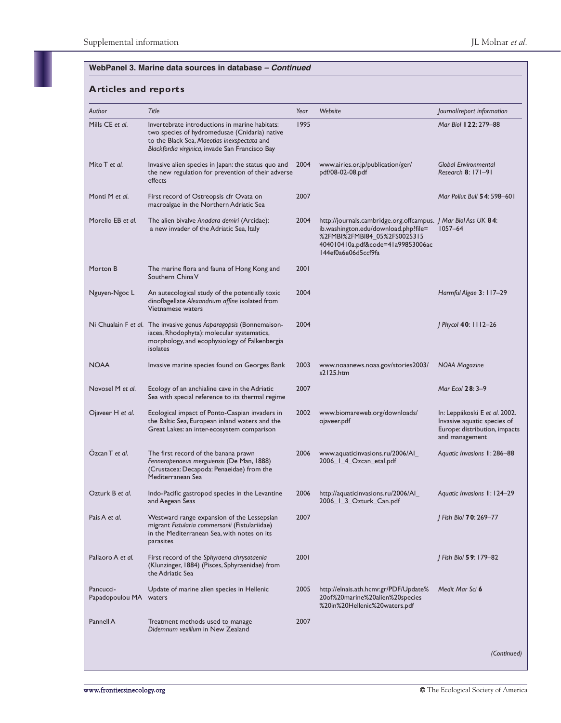| Author                              | Title                                                                                                                                                                                             | Year | Website                                                                                                                                                                                            | Journal/report information                                                                                      |
|-------------------------------------|---------------------------------------------------------------------------------------------------------------------------------------------------------------------------------------------------|------|----------------------------------------------------------------------------------------------------------------------------------------------------------------------------------------------------|-----------------------------------------------------------------------------------------------------------------|
| Mills CE et al.                     | Invertebrate introductions in marine habitats:<br>two species of hydromedusae (Cnidaria) native<br>to the Black Sea, Maeotias inexspectata and<br>Blackfordia virginica, invade San Francisco Bay | 1995 |                                                                                                                                                                                                    | Mar Biol 122: 279-88                                                                                            |
| Mito T et al.                       | Invasive alien species in Japan: the status quo and<br>the new regulation for prevention of their adverse<br>effects                                                                              | 2004 | www.airies.or.jp/publication/ger/<br>pdf/08-02-08.pdf                                                                                                                                              | <b>Global Environmental</b><br>Research 8: 171-91                                                               |
| Monti M et al.                      | First record of Ostreopsis cfr Ovata on<br>macroalgae in the Northern Adriatic Sea                                                                                                                | 2007 |                                                                                                                                                                                                    | Mar Pollut Bull 54: 598–601                                                                                     |
| Morello EB et al.                   | The alien bivalve Anadara demiri (Arcidae):<br>a new invader of the Adriatic Sea, Italy                                                                                                           | 2004 | http://journals.cambridge.org.offcampus.   Mar Biol Ass UK 84:<br>ib.washington.edu/download.php?file=<br>%2FMBI%2FMBI84_05%2FS0025315<br>404010410a.pdf&code=41a99853006ac<br>I44ef0a6e06d5ccf9fa | $1057 - 64$                                                                                                     |
| Morton B                            | The marine flora and fauna of Hong Kong and<br>Southern China V                                                                                                                                   | 2001 |                                                                                                                                                                                                    |                                                                                                                 |
| Nguyen-Ngoc L                       | An autecological study of the potentially toxic<br>dinoflagellate Alexandrium affine isolated from<br>Vietnamese waters                                                                           | 2004 |                                                                                                                                                                                                    | Harmful Algae 3: 117-29                                                                                         |
|                                     | Ni Chualain F et al. The invasive genus Asparagopsis (Bonnemaison-<br>iacea, Rhodophyta): molecular systematics,<br>morphology, and ecophysiology of Falkenbergia<br>isolates                     | 2004 |                                                                                                                                                                                                    | J Phycol 40: 1112-26                                                                                            |
| <b>NOAA</b>                         | Invasive marine species found on Georges Bank                                                                                                                                                     | 2003 | www.noaanews.noaa.gov/stories2003/<br>s2125.htm                                                                                                                                                    | NOAA Magazine                                                                                                   |
| Novosel M et al.                    | Ecology of an anchialine cave in the Adriatic<br>Sea with special reference to its thermal regime                                                                                                 | 2007 |                                                                                                                                                                                                    | Mar Ecol 28: 3-9                                                                                                |
| Ojaveer H et al.                    | Ecological impact of Ponto-Caspian invaders in<br>the Baltic Sea, European inland waters and the<br>Great Lakes: an inter-ecosystem comparison                                                    | 2002 | www.biomareweb.org/downloads/<br>ojaveer.pdf                                                                                                                                                       | In: Leppäkoski E et al. 2002.<br>Invasive aquatic species of<br>Europe: distribution, impacts<br>and management |
| Ozcan T et al.                      | The first record of the banana prawn<br>Fenneropenaeus merguiensis (De Man, 1888)<br>(Crustacea: Decapoda: Penaeidae) from the<br>Mediterranean Sea                                               | 2006 | www.aquaticinvasions.ru/2006/Al_<br>2006_1_4_Ozcan_etal.pdf                                                                                                                                        | Aquatic Invasions 1: 286-88                                                                                     |
| Ozturk B et al.                     | Indo-Pacific gastropod species in the Levantine<br>and Aegean Seas                                                                                                                                | 2006 | http://aquaticinvasions.ru/2006/Al_<br>2006_1_3_Ozturk_Can.pdf                                                                                                                                     | Aguatic Invasions 1:124–29                                                                                      |
| Pais A et al.                       | Westward range expansion of the Lessepsian<br>migrant Fistularia commersonii (Fistulariidae)<br>in the Mediterranean Sea, with notes on its<br>parasites                                          | 2007 |                                                                                                                                                                                                    | J Fish Biol 70: 269-77                                                                                          |
| Pallaoro A et al.                   | First record of the Sphyraena chrysotaenia<br>(Klunzinger, 1884) (Pisces, Sphyraenidae) from<br>the Adriatic Sea                                                                                  | 2001 |                                                                                                                                                                                                    | J Fish Biol 59: 179–82                                                                                          |
| Pancucci-<br>Papadopoulou MA waters | Update of marine alien species in Hellenic                                                                                                                                                        | 2005 | http://elnais.ath.hcmr.gr/PDF/Update%<br>20of%20marine%20alien%20species<br>%20in%20Hellenic%20waters.pdf                                                                                          | Medit Mar Sci 6                                                                                                 |
| Pannell A                           | Treatment methods used to manage<br>Didemnum vexillum in New Zealand                                                                                                                              | 2007 |                                                                                                                                                                                                    |                                                                                                                 |
|                                     |                                                                                                                                                                                                   |      |                                                                                                                                                                                                    | (Continued)                                                                                                     |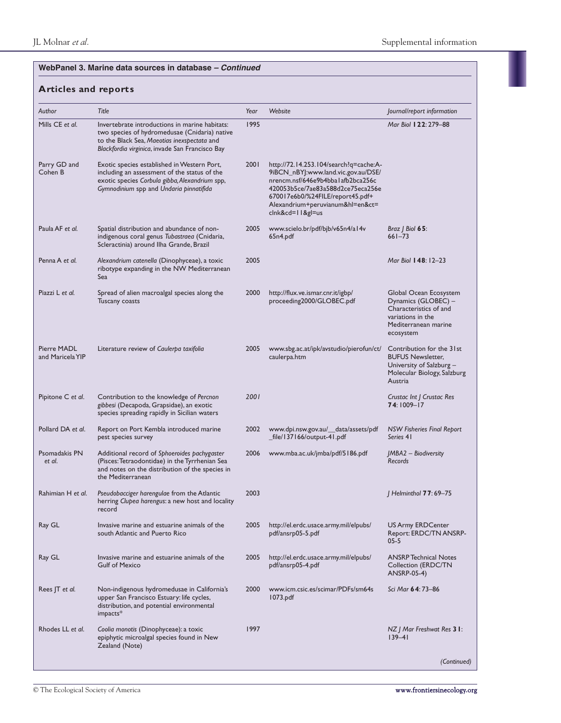| Author                          | Title                                                                                                                                                                                             | Year | Website                                                                                                                                                                                                                                               | Journal/report information                                                                                                        |
|---------------------------------|---------------------------------------------------------------------------------------------------------------------------------------------------------------------------------------------------|------|-------------------------------------------------------------------------------------------------------------------------------------------------------------------------------------------------------------------------------------------------------|-----------------------------------------------------------------------------------------------------------------------------------|
| Mills CE et al.                 | Invertebrate introductions in marine habitats:<br>two species of hydromedusae (Cnidaria) native<br>to the Black Sea, Maeotias inexspectata and<br>Blackfordia virginica, invade San Francisco Bay | 1995 |                                                                                                                                                                                                                                                       | Mar Biol 122: 279-88                                                                                                              |
| Parry GD and<br>Cohen B         | Exotic species established in Western Port,<br>including an assessment of the status of the<br>exotic species Corbula gibba, Alexandrium spp,<br>Gymnodinium spp and Undaria pinnatifida          | 2001 | http://72.14.253.104/search?q=cache:A-<br>9iBCN_nBYJ:www.land.vic.gov.au/DSE/<br>nrencm.nsf/646e9b4bbalafb2bca256c<br>420053b5ce/7ae83a588d2ce75eca256e<br>670017e6b0/%24FILE/report45.pdf+<br>Alexandrium+peruvianum&hl=en&ct=<br>$clnk&cd=11&g1=us$ |                                                                                                                                   |
| Paula AF et al.                 | Spatial distribution and abundance of non-<br>indigenous coral genus Tubastraea (Cnidaria,<br>Scleractinia) around Ilha Grande, Brazil                                                            | 2005 | www.scielo.br/pdf/bjb/v65n4/al4v<br>65n4.pdf                                                                                                                                                                                                          | Braz $\vert$ Biol 65:<br>$661 - 73$                                                                                               |
| Penna A et al.                  | Alexandrium catenella (Dinophyceae), a toxic<br>ribotype expanding in the NW Mediterranean<br>Sea                                                                                                 | 2005 |                                                                                                                                                                                                                                                       | Mar Biol 148: 12-23                                                                                                               |
| Piazzi L et al.                 | Spread of alien macroalgal species along the<br>Tuscany coasts                                                                                                                                    | 2000 | http://flux.ve.ismar.cnr.it/igbp/<br>proceeding2000/GLOBEC.pdf                                                                                                                                                                                        | Global Ocean Ecosystem<br>Dynamics (GLOBEC) -<br>Characteristics of and<br>variations in the<br>Mediterranean marine<br>ecosystem |
| Pierre MADL<br>and Maricela YIP | Literature review of Caulerpa taxifolia                                                                                                                                                           | 2005 | www.sbg.ac.at/ipk/avstudio/pierofun/ct/<br>caulerpa.htm                                                                                                                                                                                               | Contribution for the 31st<br><b>BUFUS Newsletter,</b><br>University of Salzburg -<br>Molecular Biology, Salzburg<br>Austria       |
| Pipitone C et al.               | Contribution to the knowledge of Percnon<br>gibbesi (Decapoda, Grapsidae), an exotic<br>species spreading rapidly in Sicilian waters                                                              | 2001 |                                                                                                                                                                                                                                                       | Crustac Int   Crustac Res<br>74: 1009-17                                                                                          |
| Pollard DA et al.               | Report on Port Kembla introduced marine<br>pest species survey                                                                                                                                    | 2002 | www.dpi.nsw.gov.au/_data/assets/pdf<br>_file/137166/output-41.pdf                                                                                                                                                                                     | <b>NSW Fisheries Final Report</b><br>Series 41                                                                                    |
| Psomadakis PN<br>et al.         | Additional record of Sphoeroides pachygaster<br>(Pisces: Tetraodontidae) in the Tyrrhenian Sea<br>and notes on the distribution of the species in<br>the Mediterranean                            | 2006 | www.mba.ac.uk/jmba/pdf/5186.pdf                                                                                                                                                                                                                       | JMBA2 - Biodiversity<br>Records                                                                                                   |
| Rahimian H et al.               | Pseudobacciger harengulae from the Atlantic<br>herring Clupea harengus: a new host and locality<br>record                                                                                         | 2003 |                                                                                                                                                                                                                                                       | Helminthol 77:69-75                                                                                                               |
| Ray GL                          | Invasive marine and estuarine animals of the<br>south Atlantic and Puerto Rico                                                                                                                    | 2005 | http://el.erdc.usace.army.mil/elpubs/<br>pdf/ansrp05-5.pdf                                                                                                                                                                                            | <b>US Army ERDCenter</b><br>Report: ERDC/TN ANSRP-<br>05-5                                                                        |
| Ray GL                          | Invasive marine and estuarine animals of the<br><b>Gulf of Mexico</b>                                                                                                                             | 2005 | http://el.erdc.usace.army.mil/elpubs/<br>pdf/ansrp05-4.pdf                                                                                                                                                                                            | <b>ANSRP Technical Notes</b><br>Collection (ERDC/TN<br>ANSRP-05-4)                                                                |
| Rees JT et al.                  | Non-indigenous hydromedusae in California's<br>upper San Francisco Estuary: life cycles,<br>distribution, and potential environmental<br>impacts*                                                 | 2000 | www.icm.csic.es/scimar/PDFs/sm64s<br>1073.pdf                                                                                                                                                                                                         | Sci Mar <b>64</b> : 73–86                                                                                                         |
| Rhodes LL et al.                | Coolia monotis (Dinophyceae): a toxic<br>epiphytic microalgal species found in New<br>Zealand (Note)                                                                                              | 1997 |                                                                                                                                                                                                                                                       | NZ   Mar Freshwat Res <b>3 I</b> :<br>$ 39 - 4 $                                                                                  |
|                                 |                                                                                                                                                                                                   |      |                                                                                                                                                                                                                                                       | (Continued)                                                                                                                       |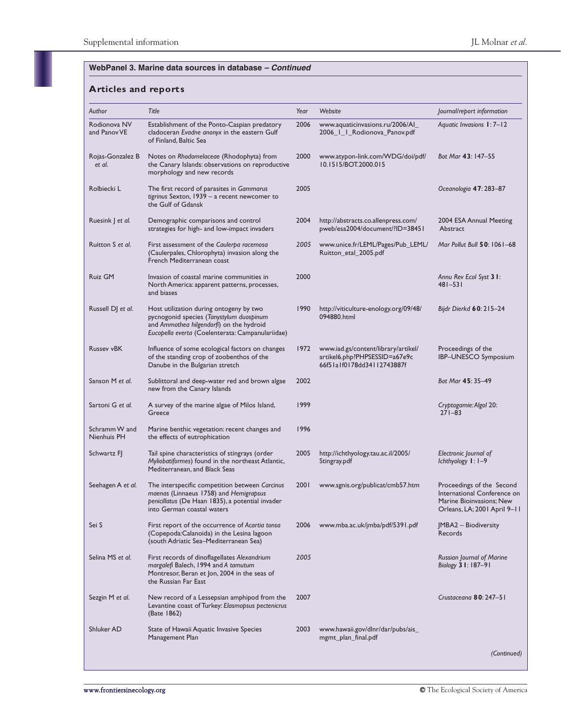| Author                       | Title                                                                                                                                                                               | Year | Website                                                                                            | Journal/report information                                                                                           |
|------------------------------|-------------------------------------------------------------------------------------------------------------------------------------------------------------------------------------|------|----------------------------------------------------------------------------------------------------|----------------------------------------------------------------------------------------------------------------------|
| Rodionova NV<br>and Panov VE | Establishment of the Ponto-Caspian predatory<br>cladoceran Evadne anonyx in the eastern Gulf<br>of Finland, Baltic Sea                                                              | 2006 | www.aquaticinvasions.ru/2006/Al<br>2006_1_1_Rodionova_Panov.pdf                                    | Aquatic Invasions 1:7-12                                                                                             |
| Rojas-Gonzalez B<br>et al.   | Notes on Rhodomelaceae (Rhodophyta) from<br>the Canary Islands: observations on reproductive<br>morphology and new records                                                          | 2000 | www.atypon-link.com/WDG/doi/pdf/<br>10.1515/BOT.2000.015                                           | Bot Mar 43: 147-55                                                                                                   |
| Rolbiecki L                  | The first record of parasites in Gammarus<br>tigrinus Sexton, 1939 - a recent newcomer to<br>the Gulf of Gdansk                                                                     | 2005 |                                                                                                    | Oceanologia <b>47</b> : 283–87                                                                                       |
| Ruesink J et al.             | Demographic comparisons and control<br>strategies for high- and low-impact invaders                                                                                                 | 2004 | http://abstracts.co.allenpress.com/<br>pweb/esa2004/document/?ID=38451                             | 2004 ESA Annual Meeting<br>Abstract                                                                                  |
| Ruitton S et al.             | First assessment of the Caulerpa racemosa<br>(Caulerpales, Chlorophyta) invasion along the<br>French Mediterranean coast                                                            | 2005 | www.unice.fr/LEML/Pages/Pub_LEML/<br>Ruitton_etal_2005.pdf                                         | Mar Pollut Bull 50: 1061-68                                                                                          |
| Ruiz GM                      | Invasion of coastal marine communities in<br>North America: apparent patterns, processes,<br>and biases                                                                             | 2000 |                                                                                                    | Annu Rev Ecol Syst 3 1:<br>$481 - 531$                                                                               |
| Russell DJ et al.            | Host utilization during ontogeny by two<br>pycnogonid species (Tanystylum duospinum<br>and Ammothea hilgendorfi) on the hydroid<br>Eucopella everta (Coelenterata: Campanulariidae) | 1990 | http://viticulture-enology.org/09/48/<br>094880.html                                               | Bijdr Dierkd 60: 215-24                                                                                              |
| <b>Russev vBK</b>            | Influence of some ecological factors on changes<br>of the standing crop of zoobenthos of the<br>Danube in the Bulgarian stretch                                                     | 1972 | www.iad.gs/content/library/artikel/<br>artikel6.php?PHPSESSID=a67e9c<br>66f51a1f0178dd34112743887f | Proceedings of the<br>IBP-UNESCO Symposium                                                                           |
| Sanson M et al.              | Sublittoral and deep-water red and brown algae<br>new from the Canary Islands                                                                                                       | 2002 |                                                                                                    | Bot Mar 45: 35-49                                                                                                    |
| Sartoni G et al.             | A survey of the marine algae of Milos Island,<br>Greece                                                                                                                             | 1999 |                                                                                                    | Cryptogamie: Algol 20:<br>$271 - 83$                                                                                 |
| Schramm W and<br>Nienhuis PH | Marine benthic vegetation: recent changes and<br>the effects of eutrophication                                                                                                      | 1996 |                                                                                                    |                                                                                                                      |
| Schwartz FJ                  | Tail spine characteristics of stingrays (order<br>Myliobatiformes) found in the northeast Atlantic,<br>Mediterranean, and Black Seas                                                | 2005 | http://ichthyology.tau.ac.il/2005/<br>Stingray.pdf                                                 | Electronic Journal of<br>Ichthyology I: I-9                                                                          |
| Seehagen A et al.            | The interspecific competition between Carcinus<br>maenas (Linnaeus 1758) and Hemigrapsus<br>penicillatus (De Haan 1835), a potential invader<br>into German coastal waters          | 2001 | www.sgnis.org/publicat/cmb57.htm                                                                   | Proceedings of the Second<br>International Conference on<br>Marine Bioinvasions; New<br>Orleans, LA; 2001 April 9-11 |
| Sei S                        | First report of the occurrence of Acartia tonsa<br>(Copepoda:Calanoida) in the Lesina lagoon<br>(south Adriatic Sea–Mediterranean Sea)                                              | 2006 | www.mba.ac.uk/jmba/pdf/5391.pdf                                                                    | <b>IMBA2</b> - Biodiversity<br>Records                                                                               |
| Selina MS et al.             | First records of dinoflagellates Alexandrium<br>margalefi Balech, 1994 and A tamutum<br>Montresor, Beran et Jon, 2004 in the seas of<br>the Russian Far East                        | 2005 |                                                                                                    | Russian Journal of Marine<br>Biology 3 1: 187–91                                                                     |
| Sezgin M et al.              | New record of a Lessepsian amphipod from the<br>Levantine coast of Turkey: Elasmopsus pectenicrus<br>(Bate 1862)                                                                    | 2007 |                                                                                                    | Crustaceana 80: 247-51                                                                                               |
| Shluker AD                   | State of Hawaii Aquatic Invasive Species<br>Management Plan                                                                                                                         | 2003 | www.hawaii.gov/dlnr/dar/pubs/ais_<br>mgmt_plan_final.pdf                                           |                                                                                                                      |
|                              |                                                                                                                                                                                     |      |                                                                                                    | (Continued)                                                                                                          |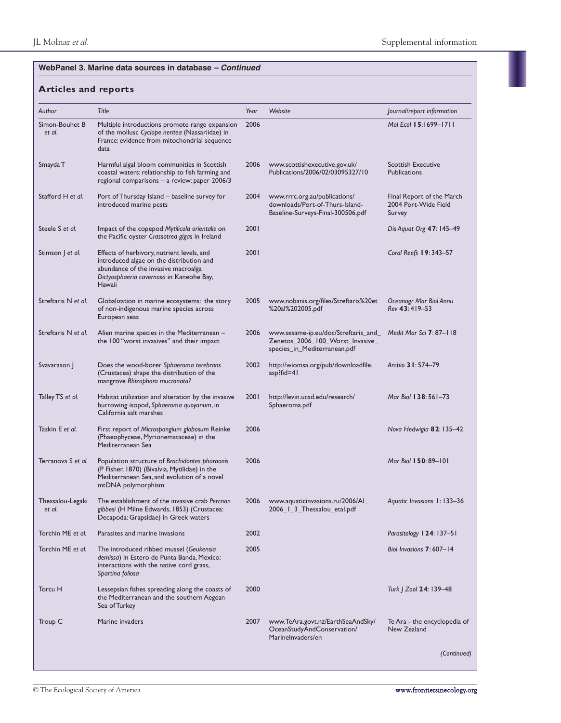| Author                     | Title                                                                                                                                                                               | Year | Website                                                                                                  | Journal/report information                                  |
|----------------------------|-------------------------------------------------------------------------------------------------------------------------------------------------------------------------------------|------|----------------------------------------------------------------------------------------------------------|-------------------------------------------------------------|
| Simon-Bouhet B<br>et al.   | Multiple introductions promote range expansion<br>of the mollusc Cyclope neritea (Nassariidae) in<br>France: evidence from mitochondrial sequence<br>data                           | 2006 |                                                                                                          | Mol Ecol 15:1699-1711                                       |
| Smayda T                   | Harmful algal bloom communities in Scottish<br>coastal waters: relationship to fish farming and<br>regional comparisons - a review: paper 2006/3                                    | 2006 | www.scottishexecutive.gov.uk/<br>Publications/2006/02/03095327/10                                        | <b>Scottish Executive</b><br><b>Publications</b>            |
| Stafford H et al.          | Port of Thursday Island - baseline survey for<br>introduced marine pests                                                                                                            | 2004 | www.rrrc.org.au/publications/<br>downloads/Port-of-Thurs-Island-<br>Baseline-Surveys-Final-300506.pdf    | Final Report of the March<br>2004 Port-Wide Field<br>Survey |
| Steele S et al.            | Impact of the copepod Mytilicola orientalis on<br>the Pacific oyster Crassotrea gigas in Ireland                                                                                    | 2001 |                                                                                                          | Dis Aquat Org 47: 145-49                                    |
| Stimson J et al.           | Effects of herbivory, nutrient levels, and<br>introduced algae on the distribution and<br>abundance of the invasive macroalga<br>Dictyosphaeria cavernosa in Kaneohe Bay,<br>Hawaii | 2001 |                                                                                                          | Coral Reefs 19: 343-57                                      |
| Streftaris N et al.        | Globalization in marine ecosystems: the story<br>of non-indigenous marine species across<br>European seas                                                                           | 2005 | www.nobanis.org/files/Streftaris%20et<br>%20al%202005.pdf                                                | Oceanogr Mar Biol Annu<br>Rev 43:419-53                     |
| Streftaris N et al.        | Alien marine species in the Mediterranean -<br>the 100 "worst invasives" and their impact                                                                                           | 2006 | www.sesame-ip.eu/doc/Streftaris_and_<br>Zenetos_2006_100_Worst_Invasive_<br>species_in_Mediterranean.pdf | Medit Mar Sci 7:87-118                                      |
| Svavarason J               | Does the wood-borer Sphaeroma terebrans<br>(Crustacea) shape the distribution of the<br>mangrove Rhizophora mucronata?                                                              | 2002 | http://wiomsa.org/pub/downloadfile.<br>asp?fid=41                                                        | Ambio 3 1:574-79                                            |
| Talley TS et al.           | Habitat utilization and alteration by the invasive<br>burrowing isopod, Sphaeroma quoyanum, in<br>California salt marshes                                                           | 2001 | http://levin.ucsd.edu/research/<br>Sphaeroma.pdf                                                         | Mar Biol 138: 561-73                                        |
| Taskin E et al.            | First report of Microspongium globosum Reinke<br>(Phaeophyceae, Myrionemataceae) in the<br>Mediterranean Sea                                                                        | 2006 |                                                                                                          | Nova Hedwigia 82: 135-42                                    |
| Terranova S et al.         | Population structure of Brachidontes pharaonis<br>(P Fisher, 1870) (Bivalvia, Mytilidae) in the<br>Mediterranean Sea, and evolution of a novel<br>mtDNA polymorphism                | 2006 |                                                                                                          | Mar Biol 150: 89-101                                        |
| Thessalou-Legaki<br>et al. | The establishment of the invasive crab Percnon<br>gibbesi (H Milne Edwards, 1853) (Crustacea:<br>Decapoda: Grapsidae) in Greek waters                                               | 2006 | www.aquaticinvasions.ru/2006/Al_<br>2006_1_3_Thessalou_etal.pdf                                          | Aquatic Invasions 1:133-36                                  |
| Torchin ME et al.          | Parasites and marine invasions                                                                                                                                                      | 2002 |                                                                                                          | Parasitology 124: 137-51                                    |
| Torchin ME et al.          | The introduced ribbed mussel (Geukensia<br>demissa) in Estero de Punta Banda, Mexico:<br>interactions with the native cord grass,<br>Spartina foliosa                               | 2005 |                                                                                                          | Biol Invasions $7:607-14$                                   |
| Torcu H                    | Lessepsian fishes spreading along the coasts of<br>the Mediterranean and the southern Aegean<br>Sea of Turkey                                                                       | 2000 |                                                                                                          | Turk   Zool 24: 139–48                                      |
| Troup C                    | Marine invaders                                                                                                                                                                     | 2007 | www.TeAra.govt.nz/EarthSeaAndSky/<br>OceanStudyAndConservation/<br>Marinelnvaders/en                     | Te Ara - the encyclopedia of<br>New Zealand                 |
|                            |                                                                                                                                                                                     |      |                                                                                                          | (Continued)                                                 |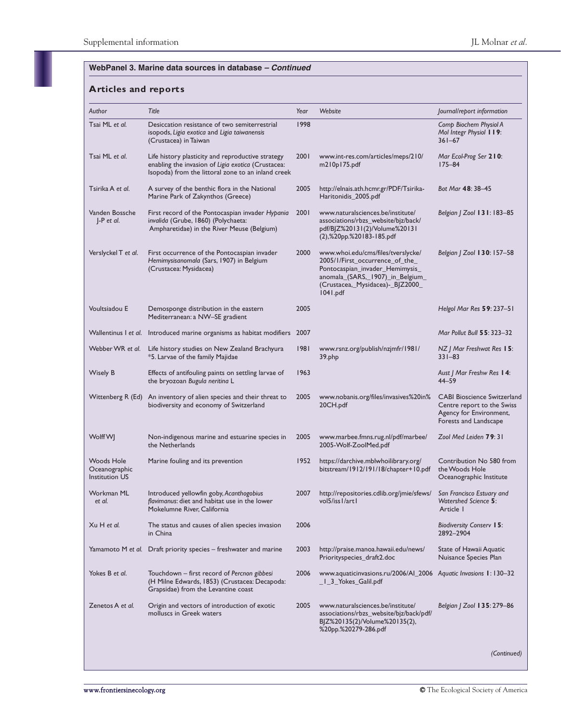| Author                                                      | Title                                                                                                                                                         | Year | Website                                                                                                                                                                                      | Journal/report information                                                                                           |
|-------------------------------------------------------------|---------------------------------------------------------------------------------------------------------------------------------------------------------------|------|----------------------------------------------------------------------------------------------------------------------------------------------------------------------------------------------|----------------------------------------------------------------------------------------------------------------------|
| Tsai ML et al.                                              | Desiccation resistance of two semiterrestrial<br>isopods, Ligia exotica and Ligia taiwanensis<br>(Crustacea) in Taiwan                                        | 1998 |                                                                                                                                                                                              | Comp Biochem Physiol A<br>Mol Integr Physiol 119:<br>$361 - 67$                                                      |
| Tsai ML et al.                                              | Life history plasticity and reproductive strategy<br>enabling the invasion of Ligia exotica (Crustacea:<br>Isopoda) from the littoral zone to an inland creek | 2001 | www.int-res.com/articles/meps/210/<br>m210p175.pdf                                                                                                                                           | Mar Ecol-Prog Ser 210:<br>$175 - 84$                                                                                 |
| Tsirika A et al.                                            | A survey of the benthic flora in the National<br>Marine Park of Zakynthos (Greece)                                                                            | 2005 | http://elnais.ath.hcmr.gr/PDF/Tsirika-<br>Haritonidis_2005.pdf                                                                                                                               | Bot Mar 48: 38-45                                                                                                    |
| Vanden Bossche<br>$J-P$ et al.                              | First record of the Pontocaspian invader Hypania<br>invalida (Grube, 1860) (Polychaeta:<br>Ampharetidae) in the River Meuse (Belgium)                         | 2001 | www.naturalsciences.be/institute/<br>associations/rbzs_website/bjz/back/<br>pdf/BJZ%20131(2)/Volume%20131<br>(2),%20pp.%20183-185.pdf                                                        | Belgian   Zool 131: 183-85                                                                                           |
| Verslyckel T et al.                                         | First occurrence of the Pontocaspian invader<br>Hemimysisanomala (Sars, 1907) in Belgium<br>(Crustacea: Mysidacea)                                            | 2000 | www.whoi.edu/cms/files/tverslycke/<br>2005/1/First_occurrence_of_the_<br>Pontocaspian_invader_Hemimysis_<br>anomala_(SARS,_1907)_in_Belgium_<br>(Crustacea,_Mysidacea)-_BJZ2000_<br>1041.pdf | Belgian   Zool 130: 157-58                                                                                           |
| Voultsiadou E                                               | Demosponge distribution in the eastern<br>Mediterranean: a NW-SE gradient                                                                                     | 2005 |                                                                                                                                                                                              | Helgol Mar Res 59: 237-51                                                                                            |
|                                                             | Wallentinus I et al. Introduced marine organisms as habitat modifiers 2007                                                                                    |      |                                                                                                                                                                                              | Mar Pollut Bull 55: 323-32                                                                                           |
| Webber WR et al.                                            | Life history studies on New Zealand Brachyura<br>*5. Larvae of the family Majidae                                                                             | 1981 | www.rsnz.org/publish/nzjmfr/1981/<br>39.php                                                                                                                                                  | $NZ$ J Mar Freshwat Res 15:<br>$331 - 83$                                                                            |
| Wisely B                                                    | Effects of antifouling paints on settling larvae of<br>the bryozoan Bugula neritina L                                                                         | 1963 |                                                                                                                                                                                              | Aust J Mar Freshw Res 14:<br>$44 - 59$                                                                               |
| Wittenberg R (Ed)                                           | An inventory of alien species and their threat to<br>biodiversity and economy of Switzerland                                                                  | 2005 | www.nobanis.org/files/invasives%20in%<br>20CH.pdf                                                                                                                                            | <b>CABI Bioscience Switzerland</b><br>Centre report to the Swiss<br>Agency for Environment,<br>Forests and Landscape |
| Wolff WJ                                                    | Non-indigenous marine and estuarine species in<br>the Netherlands                                                                                             | 2005 | www.marbee.fmns.rug.nl/pdf/marbee/<br>2005-Wolf-ZoolMed.pdf                                                                                                                                  | Zool Med Leiden 79:31                                                                                                |
| <b>Woods Hole</b><br>Oceanographic<br><b>Institution US</b> | Marine fouling and its prevention                                                                                                                             | 1952 | https://darchive.mblwhoilibrary.org/<br>bitstream/1912/191/18/chapter+10.pdf                                                                                                                 | Contribution No 580 from<br>the Woods Hole<br>Oceanographic Institute                                                |
| Workman ML<br>et al.                                        | Introduced yellowfin goby, Acanthogobius<br>flavimanus: diet and habitat use in the lower<br>Mokelumne River, California                                      | 2007 | http://repositories.cdlib.org/jmie/sfews/ San Francisco Estuary and<br>vol5/iss1/art1                                                                                                        | Watershed Science 5:<br>Article I                                                                                    |
| Xu H et al.                                                 | The status and causes of alien species invasion<br>in China                                                                                                   | 2006 |                                                                                                                                                                                              | <b>Biodiversity Conserv 15:</b><br>2892-2904                                                                         |
|                                                             | Yamamoto M et al. Draft priority species - freshwater and marine                                                                                              | 2003 | http://praise.manoa.hawaii.edu/news/<br>Priorityspecies_draft2.doc                                                                                                                           | State of Hawaii Aquatic<br>Nuisance Species Plan                                                                     |
| Yokes B et al.                                              | Touchdown – first record of Percnon gibbesi<br>(H Milne Edwards, 1853) (Crustacea: Decapoda:<br>Grapsidae) from the Levantine coast                           | 2006 | www.aquaticinvasions.ru/2006/Al_2006 Aquatic Invasions 1: 130-32<br>_I_3_Yokes_Galil.pdf                                                                                                     |                                                                                                                      |
| Zenetos A et al.                                            | Origin and vectors of introduction of exotic<br>molluscs in Greek waters                                                                                      | 2005 | www.naturalsciences.be/institute/<br>associations/rbzs_website/bjz/back/pdf/<br>BJZ%20135(2)/Volume%20135(2),<br>%20pp.%20279-286.pdf                                                        | Belgian   Zool 135: 279-86                                                                                           |
|                                                             |                                                                                                                                                               |      |                                                                                                                                                                                              | (Continued)                                                                                                          |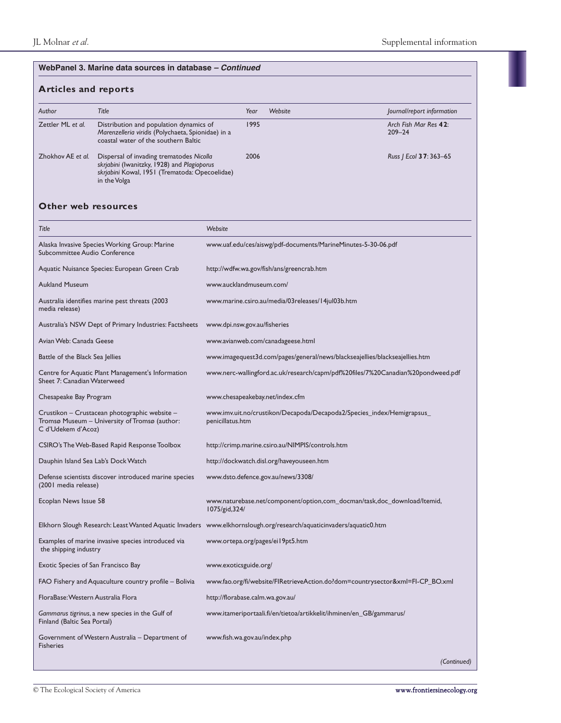# **Articles and reports**

| Author            | Title                                                                                                                                                     | Year | Website | Journal/report information          |
|-------------------|-----------------------------------------------------------------------------------------------------------------------------------------------------------|------|---------|-------------------------------------|
| Zettler ML et al. | Distribution and population dynamics of<br>Marenzelleria viridis (Polychaeta, Spionidae) in a<br>coastal water of the southern Baltic                     | 1995 |         | Arch Fish Mar Res 42:<br>$209 - 24$ |
| Zhokhov AE et al. | Dispersal of invading trematodes Nicolla<br>skrjabini (Iwanitzky, 1928) and Plagioporus<br>skrjabini Kowal, 1951 (Trematoda: Opecoelidae)<br>in the Volga | 2006 |         | Russ   Ecol <b>37</b> : 363–65      |

# **Other web resources**

| Title                                                                                                                | Website                                                                                                            |
|----------------------------------------------------------------------------------------------------------------------|--------------------------------------------------------------------------------------------------------------------|
| Alaska Invasive Species Working Group: Marine<br>Subcommittee Audio Conference                                       | www.uaf.edu/ces/aiswg/pdf-documents/MarineMinutes-5-30-06.pdf                                                      |
| Aquatic Nuisance Species: European Green Crab                                                                        | http://wdfw.wa.gov/fish/ans/greencrab.htm                                                                          |
| <b>Aukland Museum</b>                                                                                                | www.aucklandmuseum.com/                                                                                            |
| Australia identifies marine pest threats (2003<br>media release)                                                     | www.marine.csiro.au/media/03releases/14jul03b.htm                                                                  |
| Australia's NSW Dept of Primary Industries: Factsheets                                                               | www.dpi.nsw.gov.au/fisheries                                                                                       |
| Avian Web: Canada Geese                                                                                              | www.avianweb.com/canadageese.html                                                                                  |
| Battle of the Black Sea Jellies                                                                                      | www.imagequest3d.com/pages/general/news/blackseajellies/blackseajellies.htm                                        |
| Centre for Aquatic Plant Management's Information<br>Sheet 7: Canadian Waterweed                                     | www.nerc-wallingford.ac.uk/research/capm/pdf%20files/7%20Canadian%20pondweed.pdf                                   |
| Chesapeake Bay Program                                                                                               | www.chesapeakebay.net/index.cfm                                                                                    |
| Crustikon – Crustacean photographic website –<br>Tromsø Museum – University of Tromsø (author:<br>C d'Udekem d'Acoz) | www.imv.uit.no/crustikon/Decapoda/Decapoda2/Species_index/Hemigrapsus_<br>penicillatus.htm                         |
| CSIRO's The Web-Based Rapid Response Toolbox                                                                         | http://crimp.marine.csiro.au/NIMPIS/controls.htm                                                                   |
| Dauphin Island Sea Lab's Dock Watch                                                                                  | http://dockwatch.disl.org/haveyouseen.htm                                                                          |
| Defense scientists discover introduced marine species<br>(2001 media release)                                        | www.dsto.defence.gov.au/news/3308/                                                                                 |
| Ecoplan News Issue 58                                                                                                | www.naturebase.net/component/option,com_docman/task,doc_download/Itemid,<br>1075/gid, 324/                         |
|                                                                                                                      | Elkhorn Slough Research: Least Wanted Aquatic Invaders www.elkhornslough.org/research/aquaticinvaders/aquatic0.htm |
| Examples of marine invasive species introduced via<br>the shipping industry                                          | www.ortepa.org/pages/eil9pt5.htm                                                                                   |
| Exotic Species of San Francisco Bay                                                                                  | www.exoticsguide.org/                                                                                              |
| FAO Fishery and Aquaculture country profile – Bolivia                                                                | www.fao.org/fi/website/FIRetrieveAction.do?dom=countrysector&xml=FI-CP_BO.xml                                      |
| FloraBase: Western Australia Flora                                                                                   | http://florabase.calm.wa.gov.au/                                                                                   |
| Gammarus tigrinus, a new species in the Gulf of<br>Finland (Baltic Sea Portal)                                       | www.itameriportaali.fi/en/tietoa/artikkelit/ihminen/en_GB/gammarus/                                                |
| Government of Western Australia – Department of<br><b>Fisheries</b>                                                  | www.fish.wa.gov.au/index.php                                                                                       |
|                                                                                                                      | (Continued)                                                                                                        |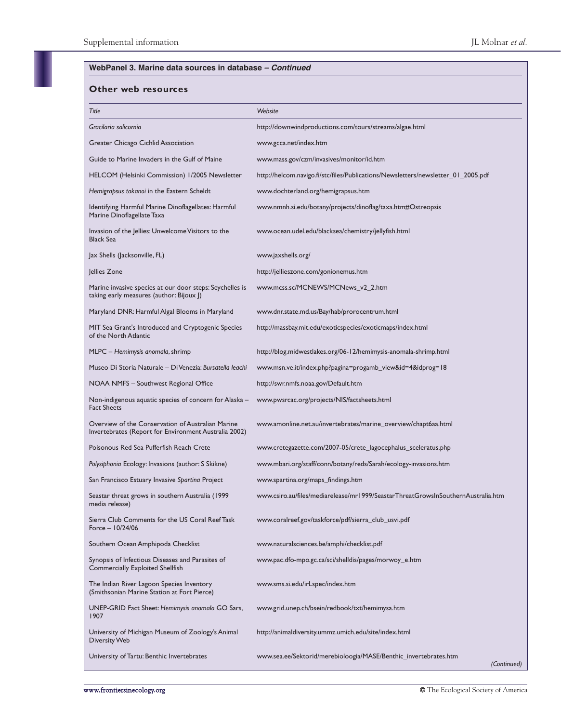#### **Other web resources**

| Title                                                                                                      | Website                                                                           |
|------------------------------------------------------------------------------------------------------------|-----------------------------------------------------------------------------------|
| Gracilaria salicornia                                                                                      | http://downwindproductions.com/tours/streams/algae.html                           |
| Greater Chicago Cichlid Association                                                                        | www.gcca.net/index.htm                                                            |
| Guide to Marine Invaders in the Gulf of Maine                                                              | www.mass.gov/czm/invasives/monitor/id.htm                                         |
| HELCOM (Helsinki Commission) 1/2005 Newsletter                                                             | http://helcom.navigo.fi/stc/files/Publications/Newsletters/newsletter_01_2005.pdf |
| Hemigrapsus takanoi in the Eastern Scheldt                                                                 | www.dochterland.org/hemigrapsus.htm                                               |
| Identifying Harmful Marine Dinoflagellates: Harmful<br>Marine Dinoflagellate Taxa                          | www.nmnh.si.edu/botany/projects/dinoflag/taxa.htm#Ostreopsis                      |
| Invasion of the Jellies: Unwelcome Visitors to the<br><b>Black Sea</b>                                     | www.ocean.udel.edu/blacksea/chemistry/jellyfish.html                              |
| Jax Shells (Jacksonville, FL)                                                                              | www.jaxshells.org/                                                                |
| Jellies Zone                                                                                               | http://jellieszone.com/gonionemus.htm                                             |
| Marine invasive species at our door steps: Seychelles is<br>taking early measures (author: Bijoux J)       | www.mcss.sc/MCNEWS/MCNews_v2_2.htm                                                |
| Maryland DNR: Harmful Algal Blooms in Maryland                                                             | www.dnr.state.md.us/Bay/hab/prorocentrum.html                                     |
| MIT Sea Grant's Introduced and Cryptogenic Species<br>of the North Atlantic                                | http://massbay.mit.edu/exoticspecies/exoticmaps/index.html                        |
| MLPC - Hemimysis anomala, shrimp                                                                           | http://blog.midwestlakes.org/06-12/hemimysis-anomala-shrimp.html                  |
| Museo Di Storia Naturale - Di Venezia: Bursatella leachi                                                   | www.msn.ve.it/index.php?pagina=progamb_view&id=4&idprog=18                        |
| NOAA NMFS - Southwest Regional Office                                                                      | http://swr.nmfs.noaa.gov/Default.htm                                              |
| Non-indigenous aquatic species of concern for Alaska –<br><b>Fact Sheets</b>                               | www.pwsrcac.org/projects/NIS/factsheets.html                                      |
| Overview of the Conservation of Australian Marine<br>Invertebrates (Report for Environment Australia 2002) | www.amonline.net.au/invertebrates/marine_overview/chapt6aa.html                   |
| Poisonous Red Sea Pufferfish Reach Crete                                                                   | www.cretegazette.com/2007-05/crete_lagocephalus_sceleratus.php                    |
| Polysiphonia Ecology: Invasions (author: S Skikne)                                                         | www.mbari.org/staff/conn/botany/reds/Sarah/ecology-invasions.htm                  |
| San Francisco Estuary Invasive Spartina Project                                                            | www.spartina.org/maps_findings.htm                                                |
| Seastar threat grows in southern Australia (1999<br>media release)                                         | www.csiro.au/files/mediarelease/mr1999/SeastarThreatGrowsInSouthernAustralia.htm  |
| Sierra Club Comments for the US Coral Reef Task<br>Force $-10/24/06$                                       | www.coralreef.gov/taskforce/pdf/sierra_club_usvi.pdf                              |
| Southern Ocean Amphipoda Checklist                                                                         | www.naturalsciences.be/amphi/checklist.pdf                                        |
| Synopsis of Infectious Diseases and Parasites of<br>Commercially Exploited Shellfish                       | www.pac.dfo-mpo.gc.ca/sci/shelldis/pages/morwoy_e.htm                             |
| The Indian River Lagoon Species Inventory<br>(Smithsonian Marine Station at Fort Pierce)                   | www.sms.si.edu/irLspec/index.htm                                                  |
| UNEP-GRID Fact Sheet: Hemimysis anomala GO Sars,<br>1907                                                   | www.grid.unep.ch/bsein/redbook/txt/hemimysa.htm                                   |
| University of Michigan Museum of Zoology's Animal<br><b>Diversity Web</b>                                  | http://animaldiversity.ummz.umich.edu/site/index.html                             |
| University of Tartu: Benthic Invertebrates                                                                 | www.sea.ee/Sektorid/merebioloogia/MASE/Benthic_invertebrates.htm<br>(Continued)   |